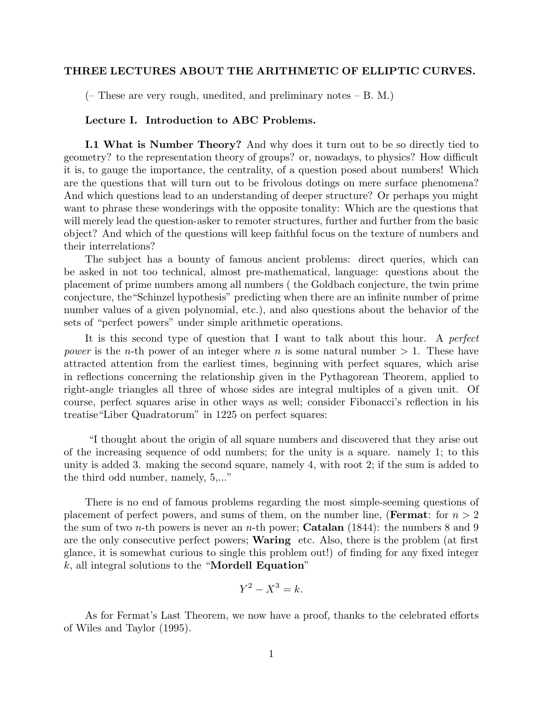# THREE LECTURES ABOUT THE ARITHMETIC OF ELLIPTIC CURVES.

(– These are very rough, unedited, and preliminary notes – B. M.)

#### Lecture I. Introduction to ABC Problems.

I.1 What is Number Theory? And why does it turn out to be so directly tied to geometry? to the representation theory of groups? or, nowadays, to physics? How difficult it is, to gauge the importance, the centrality, of a question posed about numbers! Which are the questions that will turn out to be frivolous dotings on mere surface phenomena? And which questions lead to an understanding of deeper structure? Or perhaps you might want to phrase these wonderings with the opposite tonality: Which are the questions that will merely lead the question-asker to remoter structures, further and further from the basic object? And which of the questions will keep faithful focus on the texture of numbers and their interrelations?

The subject has a bounty of famous ancient problems: direct queries, which can be asked in not too technical, almost pre-mathematical, language: questions about the placement of prime numbers among all numbers ( the Goldbach conjecture, the twin prime conjecture, the"Schinzel hypothesis" predicting when there are an infinite number of prime number values of a given polynomial, etc.), and also questions about the behavior of the sets of "perfect powers" under simple arithmetic operations.

It is this second type of question that I want to talk about this hour. A perfect power is the n-th power of an integer where n is some natural number  $> 1$ . These have attracted attention from the earliest times, beginning with perfect squares, which arise in reflections concerning the relationship given in the Pythagorean Theorem, applied to right-angle triangles all three of whose sides are integral multiples of a given unit. Of course, perfect squares arise in other ways as well; consider Fibonacci's reflection in his treatise"Liber Quadratorum" in 1225 on perfect squares:

"I thought about the origin of all square numbers and discovered that they arise out of the increasing sequence of odd numbers; for the unity is a square. namely 1; to this unity is added 3. making the second square, namely 4, with root 2; if the sum is added to the third odd number, namely, 5,..."

There is no end of famous problems regarding the most simple-seeming questions of placement of perfect powers, and sums of them, on the number line, (Fermat: for  $n > 2$ ) the sum of two *n*-th powers is never an *n*-th power; **Catalan** (1844): the numbers 8 and 9 are the only consecutive perfect powers; Waring etc. Also, there is the problem (at first glance, it is somewhat curious to single this problem out!) of finding for any fixed integer  $k$ , all integral solutions to the "Mordell Equation"

$$
Y^2 - X^3 = k.
$$

As for Fermat's Last Theorem, we now have a proof, thanks to the celebrated efforts of Wiles and Taylor (1995).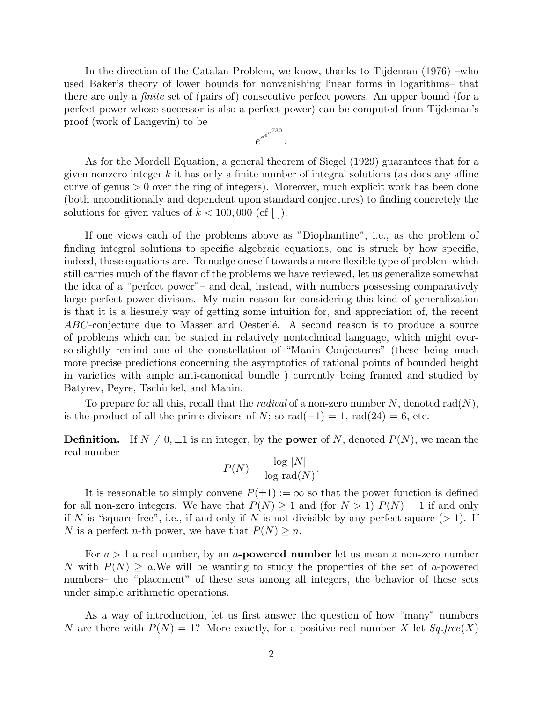In the direction of the Catalan Problem, we know, thanks to Tijdeman (1976) –who used Baker's theory of lower bounds for nonvanishing linear forms in logarithms– that there are only a finite set of (pairs of) consecutive perfect powers. An upper bound (for a perfect power whose successor is also a perfect power) can be computed from Tijdeman's proof (work of Langevin) to be

$$
e^{e^{e^{730}}}.
$$

As for the Mordell Equation, a general theorem of Siegel (1929) guarantees that for a given nonzero integer  $k$  it has only a finite number of integral solutions (as does any affine curve of genus  $> 0$  over the ring of integers). Moreover, much explicit work has been done (both unconditionally and dependent upon standard conjectures) to finding concretely the solutions for given values of  $k < 100,000$  (cf [ ]).

If one views each of the problems above as "Diophantine", i.e., as the problem of finding integral solutions to specific algebraic equations, one is struck by how specific, indeed, these equations are. To nudge oneself towards a more flexible type of problem which still carries much of the flavor of the problems we have reviewed, let us generalize somewhat the idea of a "perfect power"– and deal, instead, with numbers possessing comparatively large perfect power divisors. My main reason for considering this kind of generalization is that it is a liesurely way of getting some intuition for, and appreciation of, the recent ABC-conjecture due to Masser and Oesterlé. A second reason is to produce a source of problems which can be stated in relatively nontechnical language, which might everso-slightly remind one of the constellation of "Manin Conjectures" (these being much more precise predictions concerning the asymptotics of rational points of bounded height in varieties with ample anti-canonical bundle ) currently being framed and studied by Batyrev, Peyre, Tschinkel, and Manin.

To prepare for all this, recall that the *radical* of a non-zero number N, denoted rad $(N)$ , is the product of all the prime divisors of N; so rad( $-1$ ) = 1, rad(24) = 6, etc.

**Definition.** If  $N \neq 0, \pm 1$  is an integer, by the **power** of N, denoted  $P(N)$ , we mean the real number

$$
P(N) = \frac{\log |N|}{\log \text{rad}(N)}.
$$

It is reasonable to simply convene  $P(\pm 1) := \infty$  so that the power function is defined for all non-zero integers. We have that  $P(N) \ge 1$  and (for  $N > 1$ )  $P(N) = 1$  if and only if N is "square-free", i.e., if and only if N is not divisible by any perfect square  $(>1)$ . If N is a perfect n-th power, we have that  $P(N) \geq n$ .

For  $a > 1$  a real number, by an a-**powered number** let us mean a non-zero number N with  $P(N) \ge a$ . We will be wanting to study the properties of the set of a-powered numbers– the "placement" of these sets among all integers, the behavior of these sets under simple arithmetic operations.

As a way of introduction, let us first answer the question of how "many" numbers N are there with  $P(N) = 1$ ? More exactly, for a positive real number X let  $Sq$  free(X)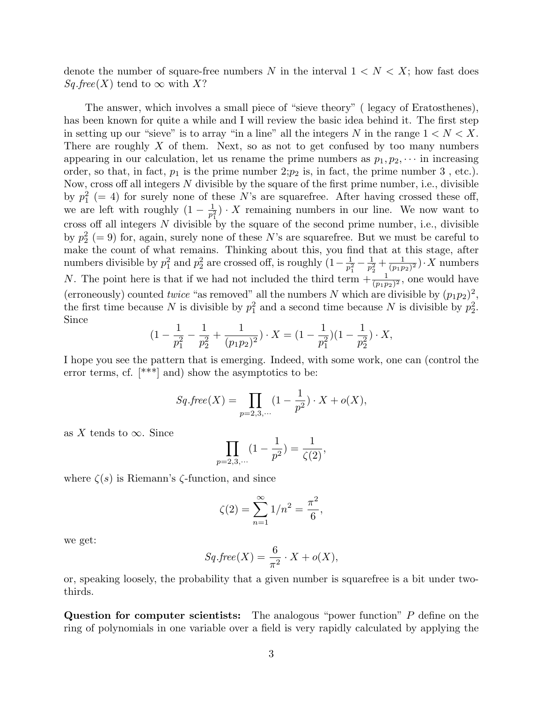denote the number of square-free numbers N in the interval  $1 < N < X$ ; how fast does  $Sq.Free(X)$  tend to  $\infty$  with X?

The answer, which involves a small piece of "sieve theory" ( legacy of Eratosthenes), has been known for quite a while and I will review the basic idea behind it. The first step in setting up our "sieve" is to array "in a line" all the integers N in the range  $1 < N < X$ . There are roughly  $X$  of them. Next, so as not to get confused by too many numbers appearing in our calculation, let us rename the prime numbers as  $p_1, p_2, \cdots$  in increasing order, so that, in fact,  $p_1$  is the prime number  $2:p_2$  is, in fact, the prime number 3, etc.). Now, cross off all integers  $N$  divisible by the square of the first prime number, i.e., divisible by  $p_1^2$  (= 4) for surely none of these N's are squarefree. After having crossed these off, we are left with roughly  $(1 - \frac{1}{n^2})$  $\frac{1}{p_1^2}$ ) · X remaining numbers in our line. We now want to cross off all integers N divisible by the square of the second prime number, i.e., divisible by  $p_2^2$  (= 9) for, again, surely none of these N's are squarefree. But we must be careful to make the count of what remains. Thinking about this, you find that at this stage, after numbers divisible by  $p_1^2$  and  $p_2^2$  are crossed off, is roughly  $(1-\frac{1}{p_2^2})$  $\frac{1}{p_1^2} - \frac{1}{p_2^2}$  $\frac{1}{p_2^2} + \frac{1}{(p_1p_2)}$  $\frac{1}{(p_1p_2)^2}$ . X numbers N. The point here is that if we had not included the third term  $+\frac{1}{(p_1p_2)^2}$ , one would have (erroneously) counted *twice* "as removed" all the numbers N which are divisible by  $(p_1p_2)^2$ , the first time because N is divisible by  $p_1^2$  and a second time because N is divisible by  $p_2^2$ . Since

$$
(1 - \frac{1}{p_1^2} - \frac{1}{p_2^2} + \frac{1}{(p_1 p_2)^2}) \cdot X = (1 - \frac{1}{p_1^2})(1 - \frac{1}{p_2^2}) \cdot X,
$$

I hope you see the pattern that is emerging. Indeed, with some work, one can (control the error terms, cf.  $[***]$  and) show the asymptotics to be:

$$
Sq\text{.free}(X) = \prod_{p=2,3,\cdots} (1 - \frac{1}{p^2}) \cdot X + o(X),
$$

as X tends to  $\infty$ . Since

$$
\prod_{p=2,3,\cdots} (1 - \frac{1}{p^2}) = \frac{1}{\zeta(2)},
$$

where  $\zeta(s)$  is Riemann's  $\zeta$ -function, and since

$$
\zeta(2) = \sum_{n=1}^{\infty} 1/n^2 = \frac{\pi^2}{6},
$$

we get:

$$
Sq\text{.free}(X) = \frac{6}{\pi^2} \cdot X + o(X),
$$

or, speaking loosely, the probability that a given number is squarefree is a bit under twothirds.

Question for computer scientists: The analogous "power function" P define on the ring of polynomials in one variable over a field is very rapidly calculated by applying the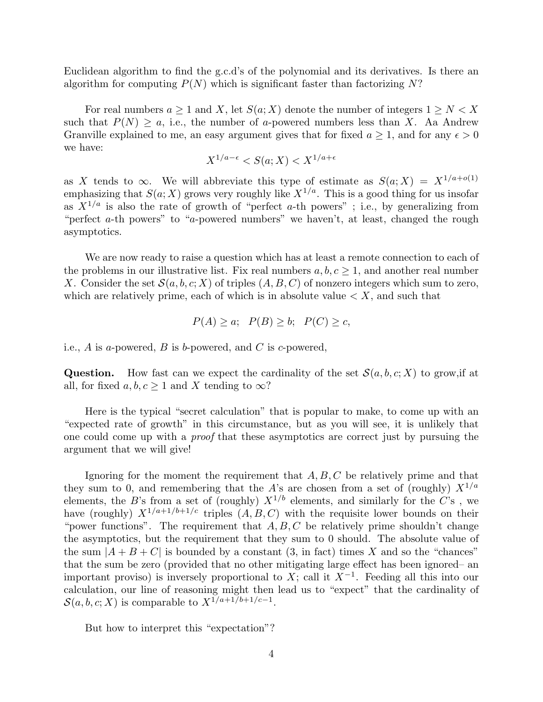Euclidean algorithm to find the g.c.d's of the polynomial and its derivatives. Is there an algorithm for computing  $P(N)$  which is significant faster than factorizing N?

For real numbers  $a \geq 1$  and X, let  $S(a; X)$  denote the number of integers  $1 \geq N < X$ such that  $P(N) \ge a$ , i.e., the number of a-powered numbers less than X. Aa Andrew Granville explained to me, an easy argument gives that for fixed  $a \geq 1$ , and for any  $\epsilon > 0$ we have:

$$
X^{1/a - \epsilon} < S(a; X) < X^{1/a + \epsilon}
$$

as X tends to  $\infty$ . We will abbreviate this type of estimate as  $S(a; X) = X^{1/a + o(1)}$ emphasizing that  $S(a; X)$  grows very roughly like  $X^{1/a}$ . This is a good thing for us insofar as  $X^{1/a}$  is also the rate of growth of "perfect a-th powers"; i.e., by generalizing from "perfect a-th powers" to "a-powered numbers" we haven't, at least, changed the rough asymptotics.

We are now ready to raise a question which has at least a remote connection to each of the problems in our illustrative list. Fix real numbers  $a, b, c \geq 1$ , and another real number X. Consider the set  $\mathcal{S}(a, b, c; X)$  of triples  $(A, B, C)$  of nonzero integers which sum to zero, which are relatively prime, each of which is in absolute value  $\lt X$ , and such that

$$
P(A) \ge a; \quad P(B) \ge b; \quad P(C) \ge c,
$$

i.e., A is a-powered, B is b-powered, and C is c-powered.

Question. How fast can we expect the cardinality of the set  $\mathcal{S}(a, b, c; X)$  to grow, if at all, for fixed  $a, b, c > 1$  and X tending to  $\infty$ ?

Here is the typical "secret calculation" that is popular to make, to come up with an "expected rate of growth" in this circumstance, but as you will see, it is unlikely that one could come up with a proof that these asymptotics are correct just by pursuing the argument that we will give!

Ignoring for the moment the requirement that  $A, B, C$  be relatively prime and that they sum to 0, and remembering that the A's are chosen from a set of (roughly)  $X^{1/a}$ elements, the B's from a set of (roughly)  $X^{1/b}$  elements, and similarly for the C's, we have (roughly)  $X^{1/a+1/b+1/c}$  triples  $(A, B, C)$  with the requisite lower bounds on their "power functions". The requirement that  $A, B, C$  be relatively prime shouldn't change the asymptotics, but the requirement that they sum to 0 should. The absolute value of the sum  $|A + B + C|$  is bounded by a constant (3, in fact) times X and so the "chances" that the sum be zero (provided that no other mitigating large effect has been ignored– an important proviso) is inversely proportional to X; call it  $X^{-1}$ . Feeding all this into our calculation, our line of reasoning might then lead us to "expect" that the cardinality of  $\mathcal{S}(a, b, c; X)$  is comparable to  $X^{1/a+1/b+1/c-1}$ .

But how to interpret this "expectation"?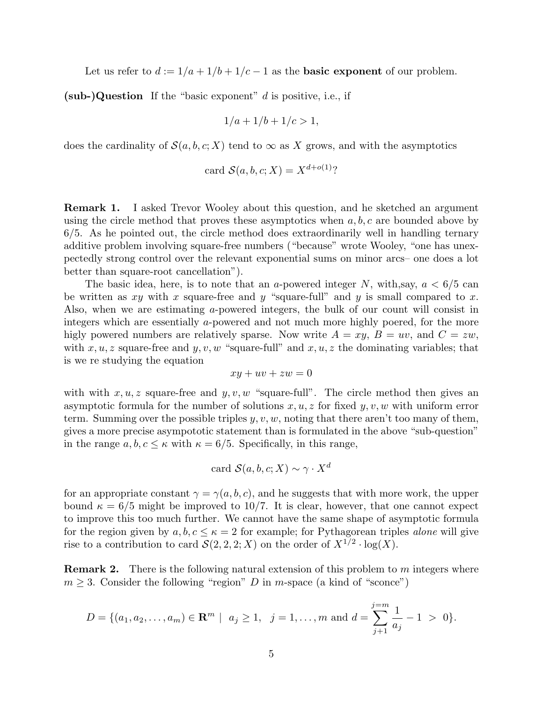Let us refer to  $d := 1/a + 1/b + 1/c - 1$  as the **basic exponent** of our problem.

 $(sub-)$ Question If the "basic exponent" d is positive, i.e., if

$$
1/a + 1/b + 1/c > 1,
$$

does the cardinality of  $\mathcal{S}(a, b, c; X)$  tend to  $\infty$  as X grows, and with the asymptotics

card 
$$
\mathcal{S}(a, b, c; X) = X^{d+o(1)}
$$
?

Remark 1. I asked Trevor Wooley about this question, and he sketched an argument using the circle method that proves these asymptotics when  $a, b, c$  are bounded above by 6/5. As he pointed out, the circle method does extraordinarily well in handling ternary additive problem involving square-free numbers ("because" wrote Wooley, "one has unexpectedly strong control over the relevant exponential sums on minor arcs– one does a lot better than square-root cancellation").

The basic idea, here, is to note that an a-powered integer N, with,say,  $a < 6/5$  can be written as xy with x square-free and y "square-full" and y is small compared to x. Also, when we are estimating a-powered integers, the bulk of our count will consist in integers which are essentially a-powered and not much more highly poered, for the more higly powered numbers are relatively sparse. Now write  $A = xy$ ,  $B = uv$ , and  $C = zw$ , with  $x, u, z$  square-free and  $y, v, w$  "square-full" and  $x, u, z$  the dominating variables; that is we re studying the equation

$$
xy + uv + zw = 0
$$

with with  $x, u, z$  square-free and  $y, v, w$  "square-full". The circle method then gives an asymptotic formula for the number of solutions  $x, u, z$  for fixed  $y, v, w$  with uniform error term. Summing over the possible triples  $y, v, w$ , noting that there aren't too many of them, gives a more precise asympototic statement than is formulated in the above "sub-question" in the range  $a, b, c \leq \kappa$  with  $\kappa = 6/5$ . Specifically, in this range,

card 
$$
\mathcal{S}(a, b, c; X) \sim \gamma \cdot X^d
$$

for an appropriate constant  $\gamma = \gamma(a, b, c)$ , and he suggests that with more work, the upper bound  $\kappa = 6/5$  might be improved to 10/7. It is clear, however, that one cannot expect to improve this too much further. We cannot have the same shape of asymptotic formula for the region given by  $a, b, c \leq \kappa = 2$  for example; for Pythagorean triples *alone* will give rise to a contribution to card  $\mathcal{S}(2,2,2;X)$  on the order of  $X^{1/2} \cdot \log(X)$ .

**Remark 2.** There is the following natural extension of this problem to m integers where  $m \geq 3$ . Consider the following "region" D in m-space (a kind of "sconce")

$$
D = \{ (a_1, a_2, \dots, a_m) \in \mathbf{R}^m \mid a_j \ge 1, j = 1, \dots, m \text{ and } d = \sum_{j+1}^{j=m} \frac{1}{a_j} - 1 > 0 \}.
$$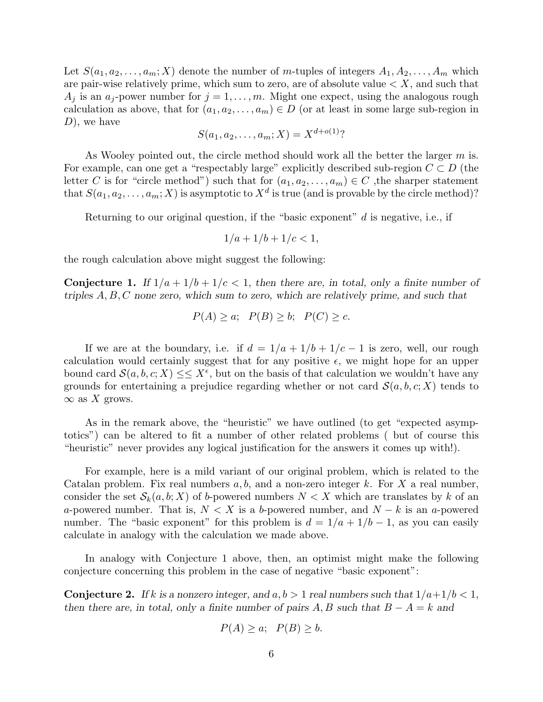Let  $S(a_1, a_2, \ldots, a_m; X)$  denote the number of m-tuples of integers  $A_1, A_2, \ldots, A_m$  which are pair-wise relatively prime, which sum to zero, are of absolute value  $\langle X \rangle$ , and such that  $A_j$  is an  $a_j$ -power number for  $j = 1, \ldots, m$ . Might one expect, using the analogous rough calculation as above, that for  $(a_1, a_2, \ldots, a_m) \in D$  (or at least in some large sub-region in  $D$ , we have

$$
S(a_1, a_2, \dots, a_m; X) = X^{d + o(1)}
$$
?

As Wooley pointed out, the circle method should work all the better the larger  $m$  is. For example, can one get a "respectably large" explicitly described sub-region  $C \subset D$  (the letter C is for "circle method") such that for  $(a_1, a_2, \ldots, a_m) \in C$ , the sharper statement that  $S(a_1, a_2, \ldots, a_m; X)$  is asymptotic to  $X^d$  is true (and is provable by the circle method)?

Returning to our original question, if the "basic exponent"  $d$  is negative, i.e., if

$$
1/a + 1/b + 1/c < 1,
$$

the rough calculation above might suggest the following:

**Conjecture 1.** If  $1/a + 1/b + 1/c < 1$ , then there are, in total, only a finite number of triples  $A, B, C$  none zero, which sum to zero, which are relatively prime, and such that

$$
P(A) \ge a; \quad P(B) \ge b; \quad P(C) \ge c.
$$

If we are at the boundary, i.e. if  $d = 1/a + 1/b + 1/c - 1$  is zero, well, our rough calculation would certainly suggest that for any positive  $\epsilon$ , we might hope for an upper bound card  $\mathcal{S}(a, b, c; X) \leq \leq X^{\epsilon}$ , but on the basis of that calculation we wouldn't have any grounds for entertaining a prejudice regarding whether or not card  $\mathcal{S}(a, b, c; X)$  tends to  $\infty$  as X grows.

As in the remark above, the "heuristic" we have outlined (to get "expected asymptotics") can be altered to fit a number of other related problems ( but of course this "heuristic" never provides any logical justification for the answers it comes up with!).

For example, here is a mild variant of our original problem, which is related to the Catalan problem. Fix real numbers  $a, b$ , and a non-zero integer k. For X a real number, consider the set  $\mathcal{S}_k(a, b; X)$  of b-powered numbers  $N < X$  which are translates by k of an a-powered number. That is,  $N < X$  is a b-powered number, and  $N - k$  is an a-powered number. The "basic exponent" for this problem is  $d = 1/a + 1/b - 1$ , as you can easily calculate in analogy with the calculation we made above.

In analogy with Conjecture 1 above, then, an optimist might make the following conjecture concerning this problem in the case of negative "basic exponent":

**Conjecture 2.** If k is a nonzero integer, and  $a, b > 1$  real numbers such that  $1/a+1/b < 1$ , then there are, in total, only a finite number of pairs A, B such that  $B - A = k$  and

$$
P(A) \ge a; \quad P(B) \ge b.
$$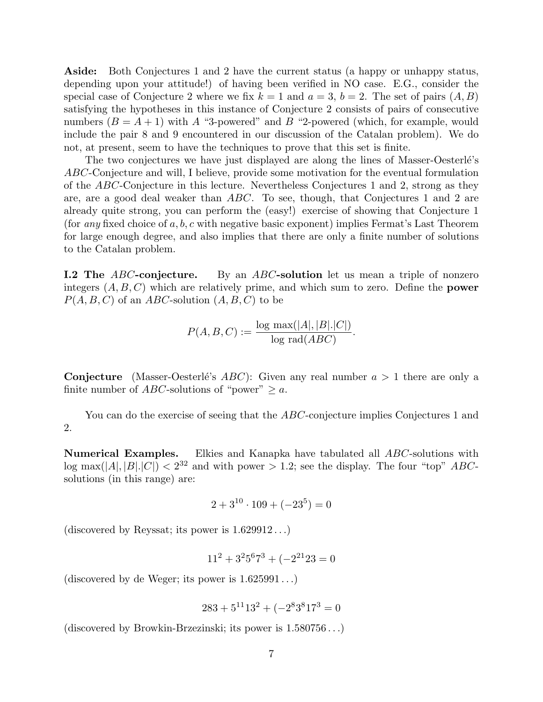Aside: Both Conjectures 1 and 2 have the current status (a happy or unhappy status, depending upon your attitude!) of having been verified in NO case. E.G., consider the special case of Conjecture 2 where we fix  $k = 1$  and  $a = 3$ ,  $b = 2$ . The set of pairs  $(A, B)$ satisfying the hypotheses in this instance of Conjecture 2 consists of pairs of consecutive numbers  $(B = A + 1)$  with A "3-powered" and B "2-powered (which, for example, would include the pair 8 and 9 encountered in our discussion of the Catalan problem). We do not, at present, seem to have the techniques to prove that this set is finite.

The two conjectures we have just displayed are along the lines of Masser-Oesterlé's ABC-Conjecture and will, I believe, provide some motivation for the eventual formulation of the ABC-Conjecture in this lecture. Nevertheless Conjectures 1 and 2, strong as they are, are a good deal weaker than ABC. To see, though, that Conjectures 1 and 2 are already quite strong, you can perform the (easy!) exercise of showing that Conjecture 1 (for any fixed choice of a, b, c with negative basic exponent) implies Fermat's Last Theorem for large enough degree, and also implies that there are only a finite number of solutions to the Catalan problem.

**I.2 The ABC-conjecture.** By an ABC-solution let us mean a triple of nonzero integers  $(A, B, C)$  which are relatively prime, and which sum to zero. Define the **power**  $P(A, B, C)$  of an ABC-solution  $(A, B, C)$  to be

$$
P(A, B, C) := \frac{\log \max(|A|, |B|, |C|)}{\log \text{rad}(ABC)}.
$$

**Conjecture** (Masser-Oesterlé's  $ABC$ ): Given any real number  $a > 1$  there are only a finite number of ABC-solutions of "power"  $\geq a$ .

You can do the exercise of seeing that the *ABC*-conjecture implies Conjectures 1 and 2.

Numerical Examples. Elkies and Kanapka have tabulated all ABC-solutions with  $\log \max(|A|, |B|, |C|) < 2^{32}$  and with power  $> 1.2$ ; see the display. The four "top" ABCsolutions (in this range) are:

$$
2 + 3^{10} \cdot 109 + (-23^5) = 0
$$

(discovered by Reyssat; its power is  $1.629912...$ )

$$
11^2 + 3^2 5^6 7^3 + (-2^{21} 23 = 0
$$

(discovered by de Weger; its power is  $1.625991...$ )

$$
283 + 5^{11}13^2 + (-2^83^817^3) = 0
$$

(discovered by Browkin-Brzezinski; its power is 1.580756 . . .)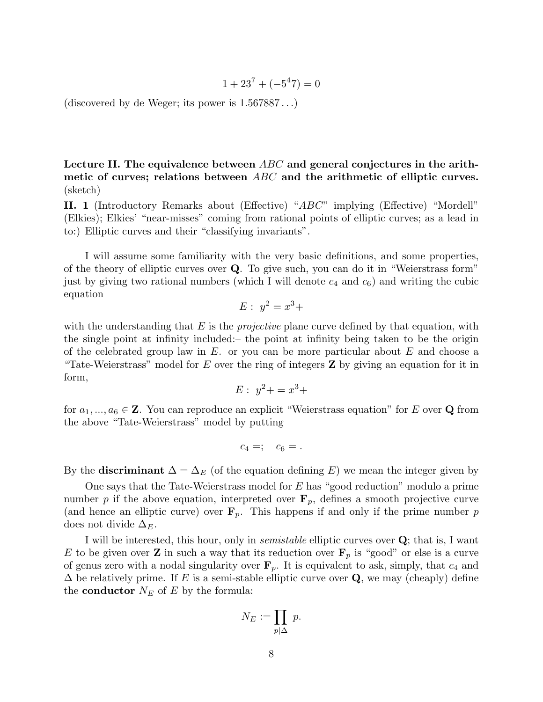$$
1 + 23^7 + (-5^4 7) = 0
$$

(discovered by de Weger; its power is  $1.567887...$ )

Lecture II. The equivalence between ABC and general conjectures in the arithmetic of curves; relations between  $ABC$  and the arithmetic of elliptic curves. (sketch)

II. 1 (Introductory Remarks about (Effective) "ABC" implying (Effective) "Mordell" (Elkies); Elkies' "near-misses" coming from rational points of elliptic curves; as a lead in to:) Elliptic curves and their "classifying invariants".

I will assume some familiarity with the very basic definitions, and some properties, of the theory of elliptic curves over Q. To give such, you can do it in "Weierstrass form" just by giving two rational numbers (which I will denote  $c_4$  and  $c_6$ ) and writing the cubic equation

$$
E: y^2 = x^3 +
$$

with the understanding that  $E$  is the *projective* plane curve defined by that equation, with the single point at infinity included:– the point at infinity being taken to be the origin of the celebrated group law in  $E$ , or you can be more particular about  $E$  and choose a "Tate-Weierstrass" model for  $E$  over the ring of integers  $\mathbf Z$  by giving an equation for it in form,

$$
E: y^2 + = x^3 +
$$

for  $a_1, ..., a_6 \in \mathbb{Z}$ . You can reproduce an explicit "Weierstrass equation" for E over Q from the above "Tate-Weierstrass" model by putting

$$
c_4 =; \quad c_6 = .
$$

By the **discriminant**  $\Delta = \Delta_E$  (of the equation defining E) we mean the integer given by

One says that the Tate-Weierstrass model for  $E$  has "good reduction" modulo a prime number p if the above equation, interpreted over  $\mathbf{F}_p$ , defines a smooth projective curve (and hence an elliptic curve) over  $\mathbf{F}_p$ . This happens if and only if the prime number p does not divide  $\Delta_E$ .

I will be interested, this hour, only in semistable elliptic curves over Q; that is, I want E to be given over **Z** in such a way that its reduction over  $\mathbf{F}_p$  is "good" or else is a curve of genus zero with a nodal singularity over  $\mathbf{F}_p$ . It is equivalent to ask, simply, that  $c_4$  and  $\Delta$  be relatively prime. If E is a semi-stable elliptic curve over Q, we may (cheaply) define the **conductor**  $N_E$  of E by the formula:

$$
N_E := \prod_{p \mid \Delta} \ p.
$$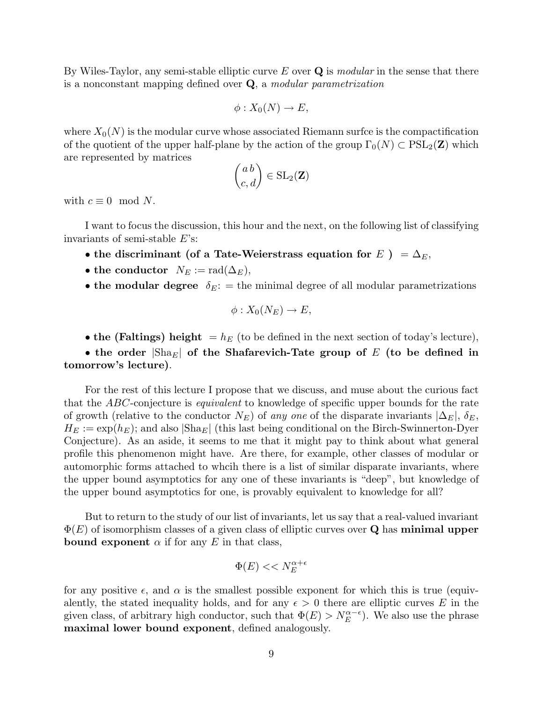By Wiles-Taylor, any semi-stable elliptic curve  $E$  over  $\bf{Q}$  is modular in the sense that there is a nonconstant mapping defined over Q, a modular parametrization

$$
\phi: X_0(N) \to E,
$$

where  $X_0(N)$  is the modular curve whose associated Riemann surfce is the compactification of the quotient of the upper half-plane by the action of the group  $\Gamma_0(N) \subset \text{PSL}_2(\mathbf{Z})$  which are represented by matrices  $\overline{a}$ 

$$
\begin{pmatrix} a \, b \\ c, d \end{pmatrix} \in SL_2(\mathbf{Z})
$$

with  $c \equiv 0 \mod N$ .

I want to focus the discussion, this hour and the next, on the following list of classifying invariants of semi-stable E's:

- the discriminant (of a Tate-Weierstrass equation for  $E$  ) =  $\Delta_E$ ,
- the conductor  $N_E := \text{rad}(\Delta_E)$ ,
- the modular degree  $\delta_E$ : = the minimal degree of all modular parametrizations

$$
\phi: X_0(N_E) \to E,
$$

• the (Faltings) height  $= h_E$  (to be defined in the next section of today's lecture),

• the order  $|\text{Sha}_E|$  of the Shafarevich-Tate group of E (to be defined in tomorrow's lecture).

For the rest of this lecture I propose that we discuss, and muse about the curious fact that the ABC-conjecture is *equivalent* to knowledge of specific upper bounds for the rate of growth (relative to the conductor  $N_E$ ) of any one of the disparate invariants  $|\Delta_E|$ ,  $\delta_E$ ,  $H_E := \exp(h_E)$ ; and also  $|\text{Sha}_E|$  (this last being conditional on the Birch-Swinnerton-Dyer Conjecture). As an aside, it seems to me that it might pay to think about what general profile this phenomenon might have. Are there, for example, other classes of modular or automorphic forms attached to whcih there is a list of similar disparate invariants, where the upper bound asymptotics for any one of these invariants is "deep", but knowledge of the upper bound asymptotics for one, is provably equivalent to knowledge for all?

But to return to the study of our list of invariants, let us say that a real-valued invariant  $\Phi(E)$  of isomorphism classes of a given class of elliptic curves over **Q** has **minimal upper bound exponent**  $\alpha$  if for any E in that class,

$$
\Phi(E) << N_E^{\alpha + \epsilon}
$$

for any positive  $\epsilon$ , and  $\alpha$  is the smallest possible exponent for which this is true (equivalently, the stated inequality holds, and for any  $\epsilon > 0$  there are elliptic curves E in the given class, of arbitrary high conductor, such that  $\Phi(E) > N_E^{\alpha-\epsilon}$ ). We also use the phrase maximal lower bound exponent, defined analogously.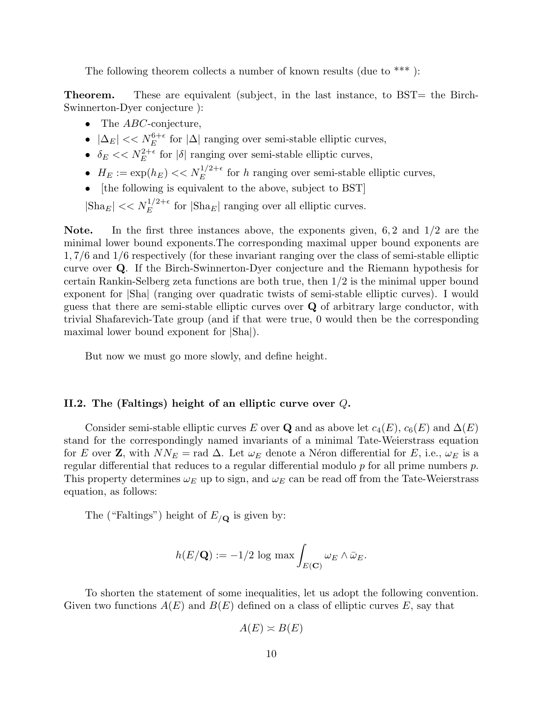The following theorem collects a number of known results (due to  $***$ ):

**Theorem.** These are equivalent (subject, in the last instance, to BST= the Birch-Swinnerton-Dyer conjecture ):

- The  $ABC$ -conjecture,
- $|\Delta_E| \ll N_E^{6+\epsilon}$  for  $|\Delta|$  ranging over semi-stable elliptic curves,
- $\delta_E \ll N_E^{2+\epsilon}$  for  $|\delta|$  ranging over semi-stable elliptic curves,
- $H_E := \exp(h_E) \ll N_E^{1/2+\epsilon}$  for h ranging over semi-stable elliptic curves,
- [the following is equivalent to the above, subject to BST]

 $|\text{Sha}_E| << N_E^{1/2+\epsilon}$  for  $|\text{Sha}_E|$  ranging over all elliptic curves.

Note. In the first three instances above, the exponents given, 6,2 and 1/2 are the minimal lower bound exponents.The corresponding maximal upper bound exponents are 1, 7/6 and 1/6 respectively (for these invariant ranging over the class of semi-stable elliptic curve over Q. If the Birch-Swinnerton-Dyer conjecture and the Riemann hypothesis for certain Rankin-Selberg zeta functions are both true, then 1/2 is the minimal upper bound exponent for |Sha| (ranging over quadratic twists of semi-stable elliptic curves). I would guess that there are semi-stable elliptic curves over Q of arbitrary large conductor, with trivial Shafarevich-Tate group (and if that were true, 0 would then be the corresponding maximal lower bound exponent for |Sha|).

But now we must go more slowly, and define height.

# II.2. The (Faltings) height of an elliptic curve over Q.

Consider semi-stable elliptic curves E over Q and as above let  $c_4(E)$ ,  $c_6(E)$  and  $\Delta(E)$ stand for the correspondingly named invariants of a minimal Tate-Weierstrass equation for E over Z, with  $NN_E$  = rad  $\Delta$ . Let  $\omega_E$  denote a Néron differential for E, i.e.,  $\omega_E$  is a regular differential that reduces to a regular differential modulo  $p$  for all prime numbers  $p$ . This property determines  $\omega_E$  up to sign, and  $\omega_E$  can be read off from the Tate-Weierstrass equation, as follows:

The ("Faltings") height of  $E_{/\mathbf{Q}}$  is given by:

$$
h(E/\mathbf{Q}) := -1/2 \log \max \int_{E(\mathbf{C})} \omega_E \wedge \bar{\omega}_E.
$$

To shorten the statement of some inequalities, let us adopt the following convention. Given two functions  $A(E)$  and  $B(E)$  defined on a class of elliptic curves E, say that

$$
A(E) \asymp B(E)
$$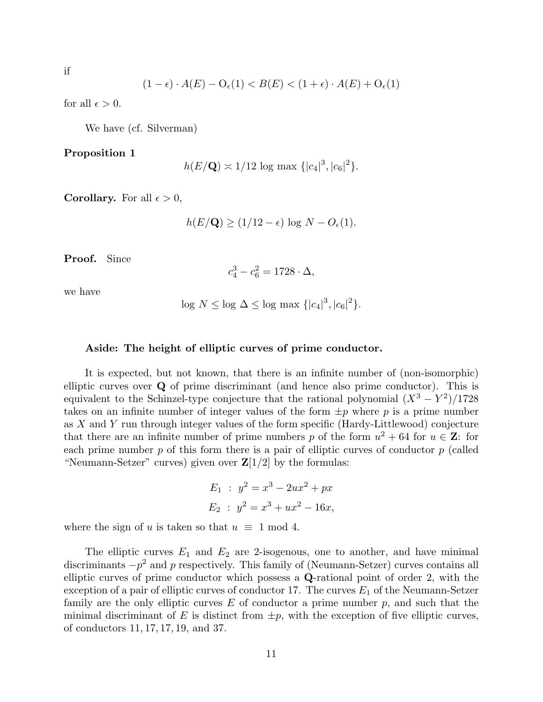$$
\quad \text{if} \quad
$$

$$
(1 - \epsilon) \cdot A(E) - \mathcal{O}_{\epsilon}(1) < B(E) < (1 + \epsilon) \cdot A(E) + \mathcal{O}_{\epsilon}(1)
$$

for all  $\epsilon > 0$ .

We have (cf. Silverman)

Proposition 1

$$
h(E/\mathbf{Q}) \approx 1/12 \log \max \{|c_4|^3, |c_6|^2\}.
$$

**Corollary.** For all  $\epsilon > 0$ ,

$$
h(E/\mathbf{Q}) \ge (1/12 - \epsilon) \log N - O_{\epsilon}(1).
$$

Proof. Since

$$
c_4^3 - c_6^2 = 1728 \cdot \Delta,
$$

we have

$$
\log N \le \log \Delta \le \log \max \left\{ |c_4|^3, |c_6|^2 \right\}.
$$

#### Aside: The height of elliptic curves of prime conductor.

It is expected, but not known, that there is an infinite number of (non-isomorphic) elliptic curves over Q of prime discriminant (and hence also prime conductor). This is equivalent to the Schinzel-type conjecture that the rational polynomial  $(X^3 - Y^2)/1728$ takes on an infinite number of integer values of the form  $\pm p$  where p is a prime number as X and Y run through integer values of the form specific (Hardy-Littlewood) conjecture that there are an infinite number of prime numbers p of the form  $u^2 + 64$  for  $u \in \mathbb{Z}$ : for each prime number  $p$  of this form there is a pair of elliptic curves of conductor  $p$  (called "Neumann-Setzer" curves) given over  $\mathbb{Z}[1/2]$  by the formulas:

$$
E_1 : y^2 = x^3 - 2ux^2 + px
$$
  

$$
E_2 : y^2 = x^3 + ux^2 - 16x,
$$

where the sign of u is taken so that  $u \equiv 1 \mod 4$ .

The elliptic curves  $E_1$  and  $E_2$  are 2-isogenous, one to another, and have minimal discriminants  $-p^2$  and p respectively. This family of (Neumann-Setzer) curves contains all elliptic curves of prime conductor which possess a Q-rational point of order 2, with the exception of a pair of elliptic curves of conductor 17. The curves  $E_1$  of the Neumann-Setzer family are the only elliptic curves  $E$  of conductor a prime number  $p$ , and such that the minimal discriminant of E is distinct from  $\pm p$ , with the exception of five elliptic curves, of conductors 11, 17, 17, 19, and 37.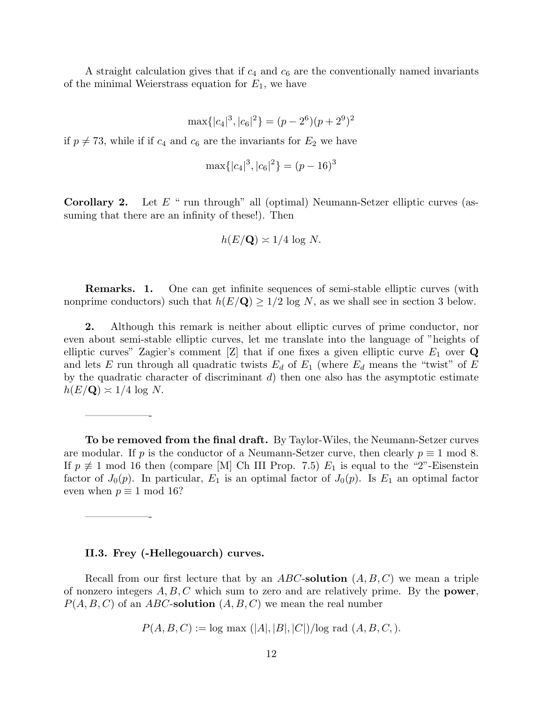A straight calculation gives that if  $c_4$  and  $c_6$  are the conventionally named invariants of the minimal Weierstrass equation for  $E_1$ , we have

$$
\max\{|c_4|^3,|c_6|^2\}=(p-2^6)(p+2^9)^2
$$

if  $p \neq 73$ , while if if  $c_4$  and  $c_6$  are the invariants for  $E_2$  we have

$$
\max\{|c_4|^3, |c_6|^2\} = (p-16)^3
$$

**Corollary 2.** Let  $E$  " run through" all (optimal) Neumann-Setzer elliptic curves (assuming that there are an infinity of these!). Then

$$
h(E/\mathbf{Q}) \asymp 1/4 \log N.
$$

Remarks. 1. One can get infinite sequences of semi-stable elliptic curves (with nonprime conductors) such that  $h(E/\mathbf{Q}) \geq 1/2$  log N, as we shall see in section 3 below.

2. Although this remark is neither about elliptic curves of prime conductor, nor even about semi-stable elliptic curves, let me translate into the language of "heights of elliptic curves" Zagier's comment [Z] that if one fixes a given elliptic curve  $E_1$  over Q and lets E run through all quadratic twists  $E_d$  of  $E_1$  (where  $E_d$  means the "twist" of E by the quadratic character of discriminant  $d$ ) then one also has the asymptotic estimate  $h(E/\mathbf{Q}) \approx 1/4 \log N$ .

To be removed from the final draft. By Taylor-Wiles, the Neumann-Setzer curves are modular. If p is the conductor of a Neumann-Setzer curve, then clearly  $p \equiv 1 \mod 8$ . If  $p \neq 1$  mod 16 then (compare [M] Ch III Prop. 7.5)  $E_1$  is equal to the "2"-Eisenstein factor of  $J_0(p)$ . In particular,  $E_1$  is an optimal factor of  $J_0(p)$ . Is  $E_1$  an optimal factor even when  $p \equiv 1 \mod 16$ ?

#### II.3. Frey (-Hellegouarch) curves.

——————-

——————-

Recall from our first lecture that by an ABC-solution  $(A, B, C)$  we mean a triple of nonzero integers  $A, B, C$  which sum to zero and are relatively prime. By the **power**,  $P(A, B, C)$  of an ABC-solution  $(A, B, C)$  we mean the real number

$$
P(A, B, C) := \log \max(|A|, |B|, |C|)/\log \text{rad}(A, B, C, ).
$$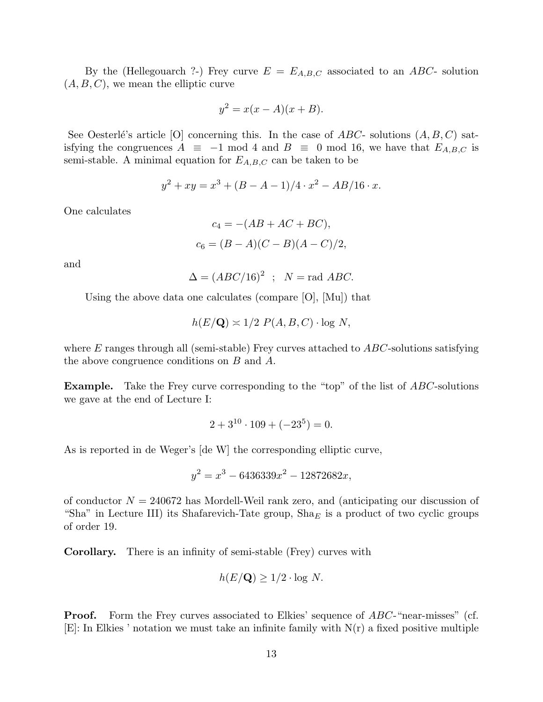By the (Hellegouarch ?-) Frey curve  $E = E_{A,B,C}$  associated to an ABC- solution  $(A, B, C)$ , we mean the elliptic curve

$$
y^2 = x(x - A)(x + B).
$$

See Oesterlé's article [O] concerning this. In the case of  $ABC$ - solutions  $(A, B, C)$  satisfying the congruences  $A \equiv -1 \mod 4$  and  $B \equiv 0 \mod 16$ , we have that  $E_{A,B,C}$  is semi-stable. A minimal equation for  $E_{A,B,C}$  can be taken to be

$$
y^{2} + xy = x^{3} + (B - A - 1)/4 \cdot x^{2} - AB/16 \cdot x.
$$

One calculates

$$
c_4 = -(AB + AC + BC),
$$
  

$$
c_6 = (B - A)(C - B)(A - C)/2,
$$

and

$$
\Delta = (ABC/16)^2 \; ; \; N = \text{rad} \; ABC.
$$

Using the above data one calculates (compare [O], [Mu]) that

$$
h(E/\mathbf{Q}) \approx 1/2 \ P(A, B, C) \cdot \log N,
$$

where  $E$  ranges through all (semi-stable) Frey curves attached to  $ABC$ -solutions satisfying the above congruence conditions on B and A.

Example. Take the Frey curve corresponding to the "top" of the list of ABC-solutions we gave at the end of Lecture I:

$$
2 + 3^{10} \cdot 109 + (-23^5) = 0.
$$

As is reported in de Weger's [de W] the corresponding elliptic curve,

$$
y^2 = x^3 - 6436339x^2 - 12872682x,
$$

of conductor  $N = 240672$  has Mordell-Weil rank zero, and (anticipating our discussion of "Sha" in Lecture III) its Shafarevich-Tate group,  $\text{Sha}_E$  is a product of two cyclic groups of order 19.

Corollary. There is an infinity of semi-stable (Frey) curves with

$$
h(E/\mathbf{Q}) \ge 1/2 \cdot \log N.
$$

**Proof.** Form the Frey curves associated to Elkies' sequence of ABC-"near-misses" (cf.  $[E]$ : In Elkies ' notation we must take an infinite family with  $N(r)$  a fixed positive multiple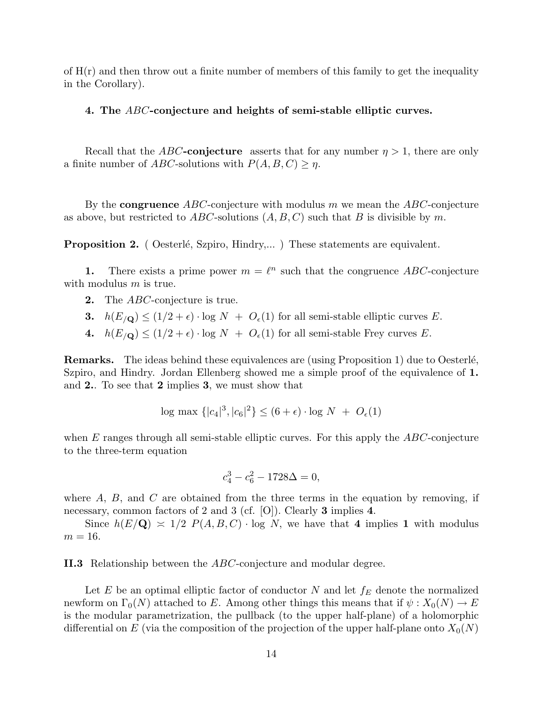of  $H(r)$  and then throw out a finite number of members of this family to get the inequality in the Corollary).

#### 4. The ABC-conjecture and heights of semi-stable elliptic curves.

Recall that the ABC-conjecture asserts that for any number  $\eta > 1$ , there are only a finite number of ABC-solutions with  $P(A, B, C) \geq \eta$ .

By the **congruence**  $ABC$ -conjecture with modulus m we mean the  $ABC$ -conjecture as above, but restricted to  $ABC$ -solutions  $(A, B, C)$  such that B is divisible by m.

**Proposition 2.** ( Oesterlé, Szpiro, Hindry,... ) These statements are equivalent.

1. There exists a prime power  $m = \ell^n$  such that the congruence ABC-conjecture with modulus  $m$  is true.

- **2.** The *ABC*-conjecture is true.
- 3.  $h(E_{/\mathbf{Q}}) \leq (1/2 + \epsilon) \cdot \log N + O_{\epsilon}(1)$  for all semi-stable elliptic curves E.
- 4.  $h(E_{/\mathbf{Q}}) \leq (1/2 + \epsilon) \cdot \log N + O_{\epsilon}(1)$  for all semi-stable Frey curves E.

**Remarks.** The ideas behind these equivalences are (using Proposition 1) due to Oesterlé, Szpiro, and Hindry. Jordan Ellenberg showed me a simple proof of the equivalence of 1. and 2.. To see that 2 implies 3, we must show that

$$
\log \max \left\{ |c_4|^3, |c_6|^2 \right\} \le (6 + \epsilon) \cdot \log N + O_{\epsilon}(1)
$$

when  $E$  ranges through all semi-stable elliptic curves. For this apply the  $ABC$ -conjecture to the three-term equation

$$
c_4^3 - c_6^2 - 1728\Delta = 0,
$$

where  $A, B$ , and  $C$  are obtained from the three terms in the equation by removing, if necessary, common factors of 2 and 3 (cf. [O]). Clearly 3 implies 4.

Since  $h(E/\mathbf{Q}) \approx 1/2$   $P(A, B, C) \cdot \log N$ , we have that 4 implies 1 with modulus  $m = 16$ .

II.3 Relationship between the ABC-conjecture and modular degree.

Let E be an optimal elliptic factor of conductor N and let  $f_E$  denote the normalized newform on  $\Gamma_0(N)$  attached to E. Among other things this means that if  $\psi: X_0(N) \to E$ is the modular parametrization, the pullback (to the upper half-plane) of a holomorphic differential on E (via the composition of the projection of the upper half-plane onto  $X_0(N)$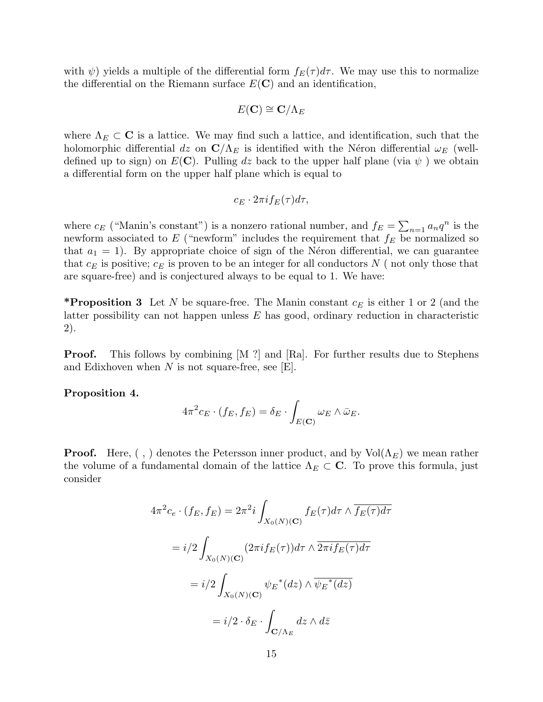with  $\psi$ ) yields a multiple of the differential form  $f_E(\tau)d\tau$ . We may use this to normalize the differential on the Riemann surface  $E(\mathbf{C})$  and an identification,

$$
E(\mathbf{C}) \cong \mathbf{C}/\Lambda_E
$$

where  $\Lambda_E \subset \mathbf{C}$  is a lattice. We may find such a lattice, and identification, such that the holomorphic differential dz on  $\mathbb{C}/\Lambda_E$  is identified with the Néron differential  $\omega_E$  (welldefined up to sign) on  $E(\mathbf{C})$ . Pulling dz back to the upper half plane (via  $\psi$ ) we obtain a differential form on the upper half plane which is equal to

$$
c_E \cdot 2\pi i f_E(\tau) d\tau,
$$

where  $c_E$  ("Manin's constant") is a nonzero rational number, and  $f_E =$  $\overline{ }$  $n=1$   $a_n q^n$  is the newform associated to  $E$  ("newform" includes the requirement that  $f_E$  be normalized so that  $a_1 = 1$ ). By appropriate choice of sign of the Néron differential, we can guarantee that  $c_E$  is positive;  $c_E$  is proven to be an integer for all conductors N (not only those that are square-free) and is conjectured always to be equal to 1. We have:

\***Proposition 3** Let N be square-free. The Manin constant  $c_E$  is either 1 or 2 (and the latter possibility can not happen unless  $E$  has good, ordinary reduction in characteristic 2).

**Proof.** This follows by combining  $[M!]$  and  $[Ra]$ . For further results due to Stephens and Edixhoven when  $N$  is not square-free, see  $[E]$ .

Proposition 4.

$$
4\pi^{2}c_{E}\cdot(f_{E},f_{E})=\delta_{E}\cdot\int_{E(\mathbf{C})}\omega_{E}\wedge\bar{\omega}_{E}.
$$

**Proof.** Here, (,) denotes the Petersson inner product, and by  $Vol(\Lambda_F)$  we mean rather the volume of a fundamental domain of the lattice  $\Lambda_E \subset \mathbb{C}$ . To prove this formula, just consider

$$
4\pi^2 c_e \cdot (f_E, f_E) = 2\pi^2 i \int_{X_0(N)(\mathbf{C})} f_E(\tau) d\tau \wedge \overline{f_E(\tau) d\tau}
$$

$$
= i/2 \int_{X_0(N)(\mathbf{C})} (2\pi i f_E(\tau)) d\tau \wedge \overline{2\pi i f_E(\tau) d\tau}
$$

$$
= i/2 \int_{X_0(N)(\mathbf{C})} \psi_E^*(dz) \wedge \overline{\psi_E^*(dz)}
$$

$$
= i/2 \cdot \delta_E \cdot \int_{\mathbf{C}/\Lambda_E} dz \wedge d\overline{z}
$$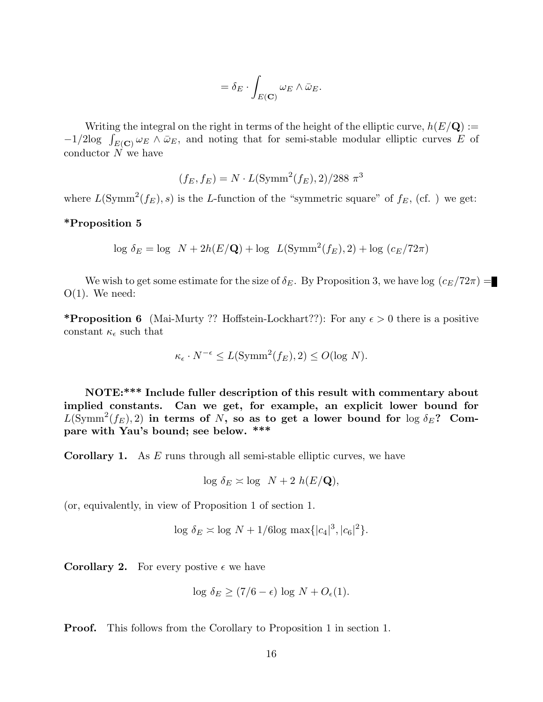$$
= \delta_E \cdot \int_{E(\mathbf{C})} \omega_E \wedge \bar{\omega}_E.
$$

Writing the integral on the right in terms of the height of the elliptic curve,  $h(E/\mathbf{Q}) :=$ writing the integral on the right in terms of the neight of the elliptic curve,  $n(E/\mathbf{Q}) := -1/2\log \int_{E(\mathbf{C})} \omega_E \wedge \bar{\omega}_E$ , and noting that for semi-stable modular elliptic curves E of conductor N we have

$$
(f_E, f_E) = N \cdot L(\text{Symm}^2(f_E), 2) / 288 \pi^3
$$

where  $L(\mathrm{Symm}^2(f_E), s)$  is the L-function of the "symmetric square" of  $f_E$ , (cf. ) we get:

# \*Proposition 5

$$
\log \delta_E = \log N + 2h(E/\mathbf{Q}) + \log L(\text{Symm}^2(f_E), 2) + \log (c_E/72\pi)
$$

We wish to get some estimate for the size of  $\delta_E$ . By Proposition 3, we have log  $(c_E/72\pi)$  =  $O(1)$ . We need:

\***Proposition 6** (Mai-Murty ?? Hoffstein-Lockhart??): For any  $\epsilon > 0$  there is a positive constant  $\kappa_{\epsilon}$  such that

$$
\kappa_{\epsilon} \cdot N^{-\epsilon} \le L(\text{Symm}^2(f_E), 2) \le O(\log N).
$$

NOTE:\*\*\* Include fuller description of this result with commentary about implied constants. Can we get, for example, an explicit lower bound for  $L(\text{Symm}^2(f_E), 2)$  in terms of N, so as to get a lower bound for  $\log \delta_E$ ? Compare with Yau's bound; see below. \*\*\*

**Corollary 1.** As  $E$  runs through all semi-stable elliptic curves, we have

$$
\log \delta_E \asymp \log N + 2 h(E/\mathbf{Q}),
$$

(or, equivalently, in view of Proposition 1 of section 1.

$$
\log \delta_E \asymp \log N + 1/6 \log \max\{|c_4|^3, |c_6|^2\}.
$$

**Corollary 2.** For every postive  $\epsilon$  we have

$$
\log \delta_E \ge (7/6 - \epsilon) \log N + O_{\epsilon}(1).
$$

Proof. This follows from the Corollary to Proposition 1 in section 1.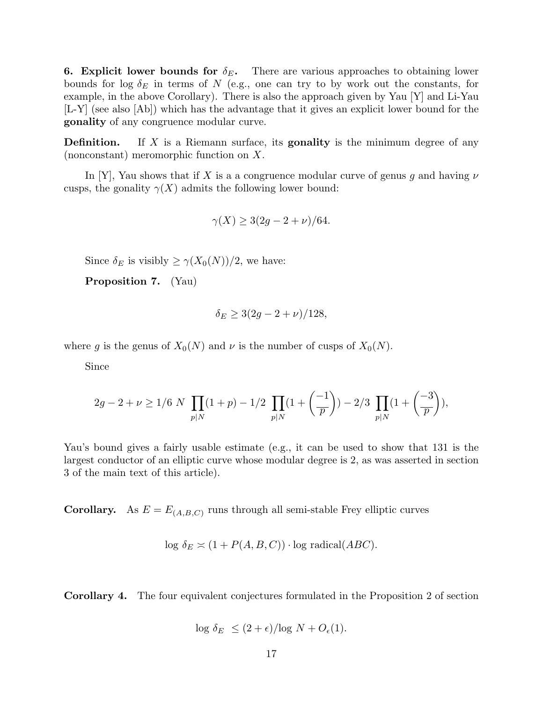**6. Explicit lower bounds for**  $\delta_E$ . There are various approaches to obtaining lower bounds for log  $\delta_E$  in terms of N (e.g., one can try to by work out the constants, for example, in the above Corollary). There is also the approach given by Yau [Y] and Li-Yau [L-Y] (see also [Ab]) which has the advantage that it gives an explicit lower bound for the gonality of any congruence modular curve.

**Definition.** If X is a Riemann surface, its **gonality** is the minimum degree of any (nonconstant) meromorphic function on X.

In [Y], Yau shows that if X is a a congruence modular curve of genus q and having  $\nu$ cusps, the gonality  $\gamma(X)$  admits the following lower bound:

$$
\gamma(X) \ge 3(2g - 2 + \nu)/64.
$$

Since  $\delta_E$  is visibly  $\geq \gamma(X_0(N))/2$ , we have:

Proposition 7. (Yau)

$$
\delta_E \ge 3(2g - 2 + \nu)/128,
$$

where g is the genus of  $X_0(N)$  and  $\nu$  is the number of cusps of  $X_0(N)$ .

Since

$$
2g-2+\nu \geq 1/6 \ N \ \prod_{p \mid N} (1+p) - 1/2 \ \prod_{p \mid N} (1+\left( \frac{-1}{p}\right) ) - 2/3 \ \prod_{p \mid N} (1+\left( \frac{-3}{p}\right)),
$$

Yau's bound gives a fairly usable estimate (e.g., it can be used to show that 131 is the largest conductor of an elliptic curve whose modular degree is 2, as was asserted in section 3 of the main text of this article).

**Corollary.** As  $E = E_{(A,B,C)}$  runs through all semi-stable Frey elliptic curves

$$
\log \delta_E \asymp (1 + P(A, B, C)) \cdot \log \text{ radical}(ABC).
$$

Corollary 4. The four equivalent conjectures formulated in the Proposition 2 of section

$$
\log \delta_E \le (2 + \epsilon) / \log N + O_{\epsilon}(1).
$$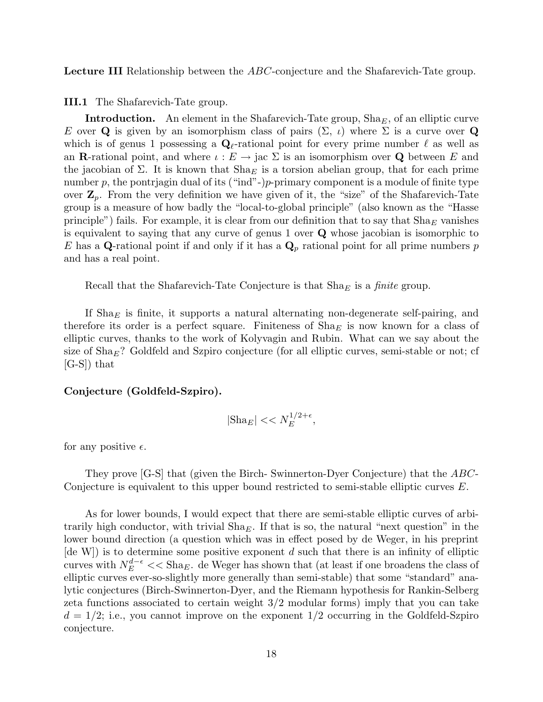Lecture III Relationship between the ABC-conjecture and the Shafarevich-Tate group.

III.1 The Shafarevich-Tate group.

**Introduction.** An element in the Shafarevich-Tate group,  $\text{Sha}_E$ , of an elliptic curve E over Q is given by an isomorphism class of pairs  $(\Sigma, \iota)$  where  $\Sigma$  is a curve over Q which is of genus 1 possessing a  $\mathbf{Q}_{\ell}$ -rational point for every prime number  $\ell$  as well as an **R**-rational point, and where  $\iota : E \to \text{jac } \Sigma$  is an isomorphism over **Q** between E and the jacobian of  $\Sigma$ . It is known that  $\text{Sha}_E$  is a torsion abelian group, that for each prime number p, the pontriagin dual of its ("ind"-) $p$ -primary component is a module of finite type over  $\mathbf{Z}_p$ . From the very definition we have given of it, the "size" of the Shafarevich-Tate group is a measure of how badly the "local-to-global principle" (also known as the "Hasse principle") fails. For example, it is clear from our definition that to say that  $\text{Sha}_E$  vanishes is equivalent to saying that any curve of genus 1 over Q whose jacobian is isomorphic to E has a Q-rational point if and only if it has a  $\mathbf{Q}_p$  rational point for all prime numbers p and has a real point.

Recall that the Shafarevich-Tate Conjecture is that  $\text{Sha}_E$  is a *finite* group.

If  $\text{Sha}_E$  is finite, it supports a natural alternating non-degenerate self-pairing, and therefore its order is a perfect square. Finiteness of  $\text{Sha}_E$  is now known for a class of elliptic curves, thanks to the work of Kolyvagin and Rubin. What can we say about the size of  $\text{Sha}_E$ ? Goldfeld and Szpiro conjecture (for all elliptic curves, semi-stable or not; cf [G-S]) that

## Conjecture (Goldfeld-Szpiro).

$$
|\text{Sha}_E| << N_E^{1/2 + \epsilon},
$$

for any positive  $\epsilon$ .

They prove [G-S] that (given the Birch- Swinnerton-Dyer Conjecture) that the ABC-Conjecture is equivalent to this upper bound restricted to semi-stable elliptic curves E.

As for lower bounds, I would expect that there are semi-stable elliptic curves of arbitrarily high conductor, with trivial  $\text{Sha}_E$ . If that is so, the natural "next question" in the lower bound direction (a question which was in effect posed by de Weger, in his preprint [de W]) is to determine some positive exponent d such that there is an infinity of elliptic curves with  $N_E^{d-\epsilon}$  << Sha<sub>E</sub>. de Weger has shown that (at least if one broadens the class of elliptic curves ever-so-slightly more generally than semi-stable) that some "standard" analytic conjectures (Birch-Swinnerton-Dyer, and the Riemann hypothesis for Rankin-Selberg zeta functions associated to certain weight 3/2 modular forms) imply that you can take  $d = 1/2$ ; i.e., you cannot improve on the exponent  $1/2$  occurring in the Goldfeld-Szpiro conjecture.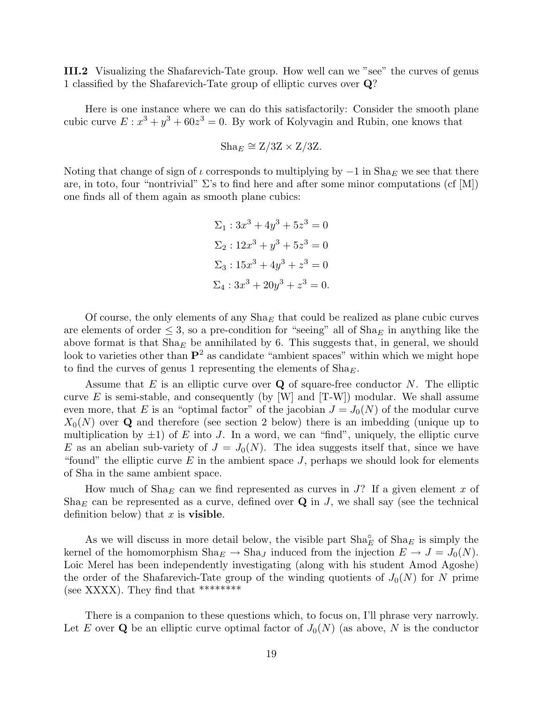III.2 Visualizing the Shafarevich-Tate group. How well can we "see" the curves of genus 1 classified by the Shafarevich-Tate group of elliptic curves over Q?

Here is one instance where we can do this satisfactorily: Consider the smooth plane cubic curve  $E: x^3 + y^3 + 60z^3 = 0$ . By work of Kolyvagin and Rubin, one knows that

$$
Sha_E \cong Z/3Z \times Z/3Z.
$$

Noting that change of sign of  $\iota$  corresponds to multiplying by  $-1$  in  $\text{Sha}_E$  we see that there are, in toto, four "nontrivial"  $\Sigma$ 's to find here and after some minor computations (cf [M]) one finds all of them again as smooth plane cubics:

$$
\Sigma_1: 3x^3 + 4y^3 + 5z^3 = 0
$$
  
\n
$$
\Sigma_2: 12x^3 + y^3 + 5z^3 = 0
$$
  
\n
$$
\Sigma_3: 15x^3 + 4y^3 + z^3 = 0
$$
  
\n
$$
\Sigma_4: 3x^3 + 20y^3 + z^3 = 0.
$$

Of course, the only elements of any  $\text{Sha}_E$  that could be realized as plane cubic curves are elements of order  $\leq$  3, so a pre-condition for "seeing" all of Sha<sub>E</sub> in anything like the above format is that  $\text{Sha}_E$  be annihilated by 6. This suggests that, in general, we should look to varieties other than  $\mathbf{P}^2$  as candidate "ambient spaces" within which we might hope to find the curves of genus 1 representing the elements of  $\text{Sha}_E$ .

Assume that  $E$  is an elliptic curve over  $Q$  of square-free conductor  $N$ . The elliptic curve  $E$  is semi-stable, and consequently (by [W] and  $[T-W]$ ) modular. We shall assume even more, that E is an "optimal factor" of the jacobian  $J = J_0(N)$  of the modular curve  $X_0(N)$  over Q and therefore (see section 2 below) there is an imbedding (unique up to multiplication by  $\pm 1$ ) of E into J. In a word, we can "find", uniquely, the elliptic curve E as an abelian sub-variety of  $J = J_0(N)$ . The idea suggests itself that, since we have "found" the elliptic curve  $E$  in the ambient space  $J$ , perhaps we should look for elements of Sha in the same ambient space.

How much of Sha<sub>E</sub> can we find represented as curves in  $J$ ? If a given element x of Sha<sub>E</sub> can be represented as a curve, defined over  $Q$  in J, we shall say (see the technical definition below) that  $x$  is **visible**.

As we will discuss in more detail below, the visible part  $\text{Sha}_{E}^{\circ}$  of  $\text{Sha}_{E}$  is simply the kernel of the homomorphism  $\text{Sha}_E \to \text{Sha}_J$  induced from the injection  $E \to J = J_0(N)$ . Loic Merel has been independently investigating (along with his student Amod Agoshe) the order of the Shafarevich-Tate group of the winding quotients of  $J_0(N)$  for N prime (see XXXX). They find that \*\*\*\*\*\*\*\*\*

There is a companion to these questions which, to focus on, I'll phrase very narrowly. Let E over Q be an elliptic curve optimal factor of  $J_0(N)$  (as above, N is the conductor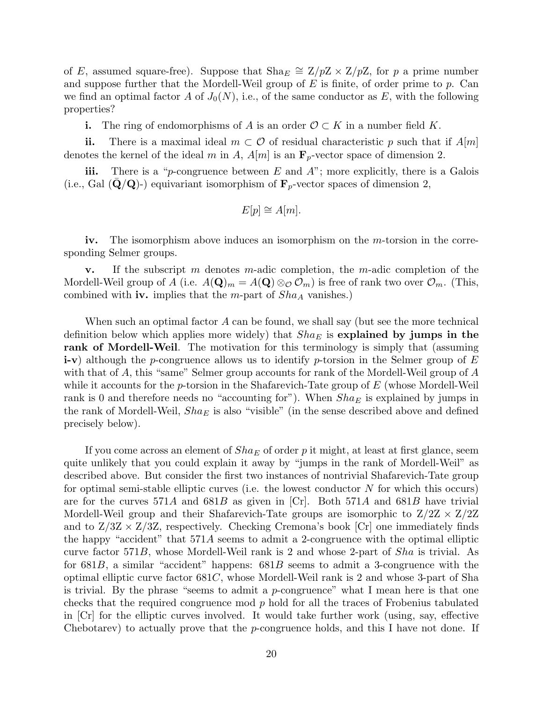of E, assumed square-free). Suppose that  $\text{Sha}_E \cong \mathbb{Z}/p\mathbb{Z} \times \mathbb{Z}/p\mathbb{Z}$ , for p a prime number and suppose further that the Mordell-Weil group of  $E$  is finite, of order prime to  $p$ . Can we find an optimal factor A of  $J_0(N)$ , i.e., of the same conductor as E, with the following properties?

**i.** The ring of endomorphisms of A is an order  $\mathcal{O} \subset K$  in a number field K.

ii. There is a maximal ideal  $m \subset \mathcal{O}$  of residual characteristic p such that if  $A[m]$ denotes the kernel of the ideal m in A,  $A[m]$  is an  $\mathbf{F}_p$ -vector space of dimension 2.

iii. There is a "p-congruence between  $E$  and  $A$ "; more explicitly, there is a Galois (i.e., Gal  $(\mathbf{Q}/\mathbf{Q})$ -) equivariant isomorphism of  $\mathbf{F}_p$ -vector spaces of dimension 2,

$$
E[p] \cong A[m].
$$

iv. The isomorphism above induces an isomorphism on the m-torsion in the corresponding Selmer groups.

**v.** If the subscript m denotes m-adic completion, the m-adic completion of the Mordell-Weil group of A (i.e.  $A(\mathbf{Q})_m = A(\mathbf{Q}) \otimes_{\mathcal{O}} \mathcal{O}_m$ ) is free of rank two over  $\mathcal{O}_m$ . (This, combined with **iv.** implies that the  $m$ -part of  $Sha_A$  vanishes.)

When such an optimal factor  $A$  can be found, we shall say (but see the more technical definition below which applies more widely) that  $Sha_E$  is explained by jumps in the rank of Mordell-Weil. The motivation for this terminology is simply that (assuming **i-v**) although the p-congruence allows us to identify p-torsion in the Selmer group of  $E$ with that of A, this "same" Selmer group accounts for rank of the Mordell-Weil group of A while it accounts for the p-torsion in the Shafarevich-Tate group of  $E$  (whose Mordell-Weil rank is 0 and therefore needs no "accounting for"). When  $Sha_E$  is explained by jumps in the rank of Mordell-Weil,  $Sha_E$  is also "visible" (in the sense described above and defined precisely below).

If you come across an element of  $Sha<sub>E</sub>$  of order p it might, at least at first glance, seem quite unlikely that you could explain it away by "jumps in the rank of Mordell-Weil" as described above. But consider the first two instances of nontrivial Shafarevich-Tate group for optimal semi-stable elliptic curves (i.e. the lowest conductor  $N$  for which this occurs) are for the curves  $571A$  and  $681B$  as given in [Cr]. Both  $571A$  and  $681B$  have trivial Mordell-Weil group and their Shafarevich-Tate groups are isomorphic to  $Z/2Z \times Z/2Z$ and to  $Z/3Z \times Z/3Z$ , respectively. Checking Cremona's book [Cr] one immediately finds the happy "accident" that 571A seems to admit a 2-congruence with the optimal elliptic curve factor 571B, whose Mordell-Weil rank is 2 and whose 2-part of  $Sha$  is trivial. As for  $681B$ , a similar "accident" happens:  $681B$  seems to admit a 3-congruence with the optimal elliptic curve factor 681C, whose Mordell-Weil rank is 2 and whose 3-part of Sha is trivial. By the phrase "seems to admit a  $p$ -congruence" what I mean here is that one checks that the required congruence mod  $p$  hold for all the traces of Frobenius tabulated in [Cr] for the elliptic curves involved. It would take further work (using, say, effective Chebotarev) to actually prove that the p-congruence holds, and this I have not done. If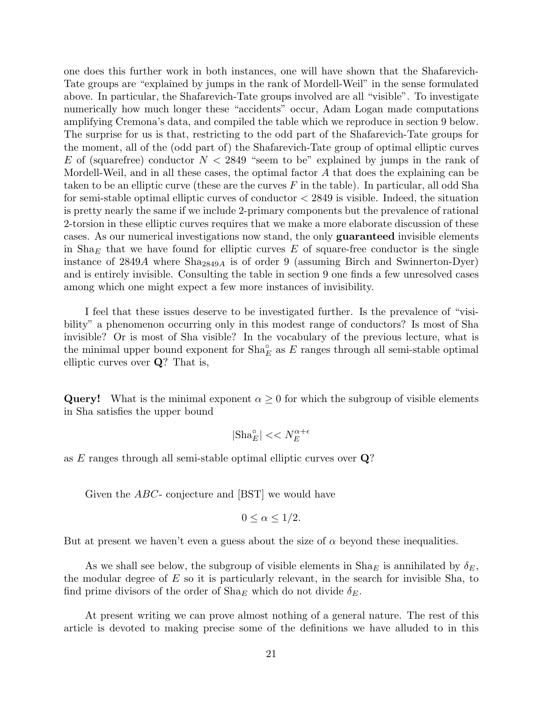one does this further work in both instances, one will have shown that the Shafarevich-Tate groups are "explained by jumps in the rank of Mordell-Weil" in the sense formulated above. In particular, the Shafarevich-Tate groups involved are all "visible". To investigate numerically how much longer these "accidents" occur, Adam Logan made computations amplifying Cremona's data, and compiled the table which we reproduce in section 9 below. The surprise for us is that, restricting to the odd part of the Shafarevich-Tate groups for the moment, all of the (odd part of) the Shafarevich-Tate group of optimal elliptic curves E of (squarefree) conductor  $N < 2849$  "seem to be" explained by jumps in the rank of Mordell-Weil, and in all these cases, the optimal factor A that does the explaining can be taken to be an elliptic curve (these are the curves  $F$  in the table). In particular, all odd Sha for semi-stable optimal elliptic curves of conductor  $\langle 2849 \rangle$  is visible. Indeed, the situation is pretty nearly the same if we include 2-primary components but the prevalence of rational 2-torsion in these elliptic curves requires that we make a more elaborate discussion of these cases. As our numerical investigations now stand, the only guaranteed invisible elements in  $\text{Sha}_E$  that we have found for elliptic curves E of square-free conductor is the single instance of  $2849A$  where  $\text{Sha}_{2849A}$  is of order 9 (assuming Birch and Swinnerton-Dyer) and is entirely invisible. Consulting the table in section 9 one finds a few unresolved cases among which one might expect a few more instances of invisibility.

I feel that these issues deserve to be investigated further. Is the prevalence of "visibility" a phenomenon occurring only in this modest range of conductors? Is most of Sha invisible? Or is most of Sha visible? In the vocabulary of the previous lecture, what is the minimal upper bound exponent for  $\text{Sha}_{E}^{\circ}$  as  $E$  ranges through all semi-stable optimal elliptic curves over Q? That is,

**Query!** What is the minimal exponent  $\alpha \geq 0$  for which the subgroup of visible elements in Sha satisfies the upper bound

$$
|\textnormal{Sha}_E^\circ| << N_E^{\alpha + \epsilon}
$$

as E ranges through all semi-stable optimal elliptic curves over Q?

Given the *ABC*- conjecture and [BST] we would have

$$
0 \le \alpha \le 1/2.
$$

But at present we haven't even a guess about the size of  $\alpha$  beyond these inequalities.

As we shall see below, the subgroup of visible elements in  $\text{Sha}_E$  is annihilated by  $\delta_E$ , the modular degree of  $E$  so it is particularly relevant, in the search for invisible Sha, to find prime divisors of the order of  $\text{Sha}_E$  which do not divide  $\delta_E$ .

At present writing we can prove almost nothing of a general nature. The rest of this article is devoted to making precise some of the definitions we have alluded to in this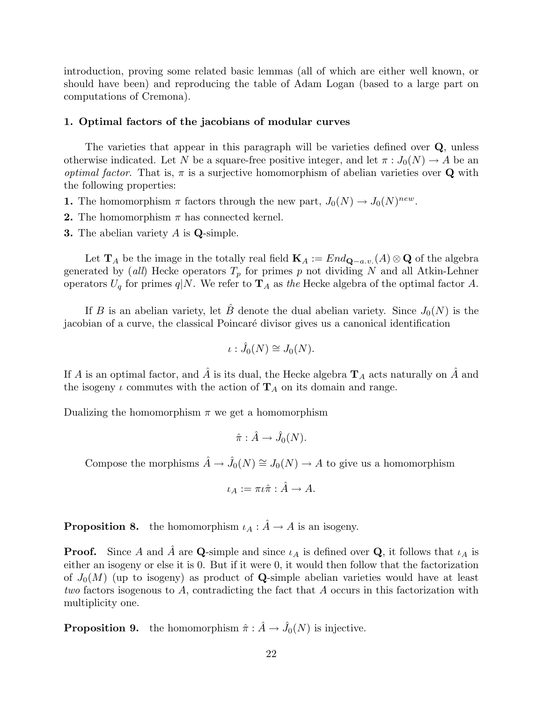introduction, proving some related basic lemmas (all of which are either well known, or should have been) and reproducing the table of Adam Logan (based to a large part on computations of Cremona).

## 1. Optimal factors of the jacobians of modular curves

The varieties that appear in this paragraph will be varieties defined over Q, unless otherwise indicated. Let N be a square-free positive integer, and let  $\pi: J_0(N) \to A$  be an *optimal factor.* That is,  $\pi$  is a surjective homomorphism of abelian varieties over **Q** with the following properties:

- **1.** The homomorphism  $\pi$  factors through the new part,  $J_0(N) \to J_0(N)^{new}$ .
- **2.** The homomorphism  $\pi$  has connected kernel.
- **3.** The abelian variety  $A$  is  $Q$ -simple.

Let  $\mathbf{T}_A$  be the image in the totally real field  $\mathbf{K}_A := End_{\mathbf{Q}-a.v.}(A) \otimes \mathbf{Q}$  of the algebra generated by (all) Hecke operators  $T_p$  for primes p not dividing N and all Atkin-Lehner operators  $U_q$  for primes  $q|N$ . We refer to  $\mathbf{T}_A$  as the Hecke algebra of the optimal factor A.

If B is an abelian variety, let B denote the dual abelian variety. Since  $J_0(N)$  is the jacobian of a curve, the classical Poincar´e divisor gives us a canonical identification

$$
\iota: \hat{J}_0(N) \cong J_0(N).
$$

If A is an optimal factor, and  $\hat{A}$  is its dual, the Hecke algebra  $\mathbf{T}_A$  acts naturally on  $\hat{A}$  and the isogeny  $\iota$  commutes with the action of  $\mathbf{T}_A$  on its domain and range.

Dualizing the homomorphism  $\pi$  we get a homomorphism

$$
\hat{\pi} : \hat{A} \to \hat{J}_0(N).
$$

Compose the morphisms  $\hat{A} \to \hat{J}_0(N) \cong J_0(N) \to A$  to give us a homomorphism

$$
\iota_A:=\pi\iota\hat\pi:\hat A\to A.
$$

**Proposition 8.** the homomorphism  $\iota_A : \hat{A} \to A$  is an isogeny.

**Proof.** Since A and  $\hat{A}$  are **Q**-simple and since  $\iota_A$  is defined over **Q**, it follows that  $\iota_A$  is either an isogeny or else it is 0. But if it were 0, it would then follow that the factorization of  $J_0(M)$  (up to isogeny) as product of **Q**-simple abelian varieties would have at least two factors isogenous to A, contradicting the fact that A occurs in this factorization with multiplicity one.

**Proposition 9.** the homomorphism  $\hat{\pi} : \hat{A} \to \hat{J}_0(N)$  is injective.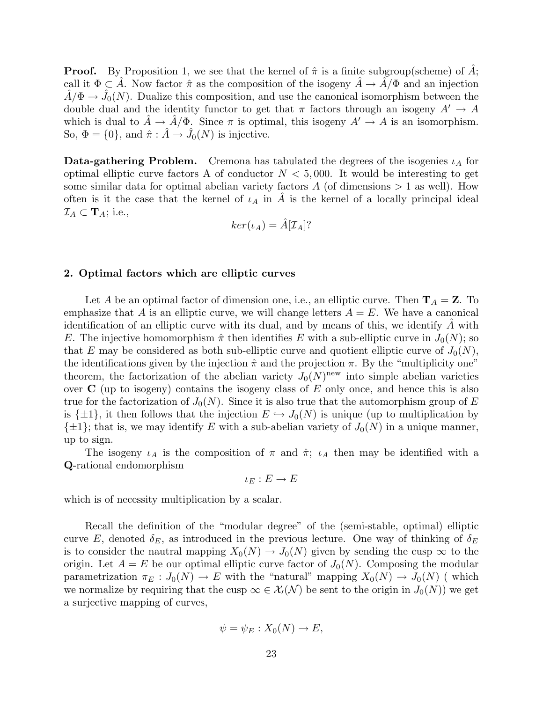**Proof.** By Proposition 1, we see that the kernel of  $\hat{\pi}$  is a finite subgroup(scheme) of A; call it  $\Phi \subset \hat{A}$ . Now factor  $\hat{\pi}$  as the composition of the isogeny  $\hat{A} \to \hat{A}/\Phi$  and an injection  $\hat{A}/\Phi \to \hat{J}_0(N)$ . Dualize this composition, and use the canonical isomorphism between the double dual and the identity functor to get that  $\pi$  factors through an isogeny  $A' \to A$ which is dual to  $\hat{A} \to \hat{A}/\Phi$ . Since  $\pi$  is optimal, this isogeny  $A' \to A$  is an isomorphism. So,  $\Phi = \{0\}$ , and  $\hat{\pi} : \hat{A} \to \hat{J}_0(N)$  is injective.

**Data-gathering Problem.** Cremona has tabulated the degrees of the isogenies  $\iota_A$  for optimal elliptic curve factors A of conductor  $N < 5,000$ . It would be interesting to get some similar data for optimal abelian variety factors  $A$  (of dimensions  $> 1$  as well). How often is it the case that the kernel of  $\iota_A$  in  $\tilde{A}$  is the kernel of a locally principal ideal  $\mathcal{I}_A \subset \mathbf{T}_A$ ; i.e.,

$$
ker(\iota_A) = \hat{A}[\mathcal{I}_A]
$$
?

## 2. Optimal factors which are elliptic curves

Let A be an optimal factor of dimension one, i.e., an elliptic curve. Then  $\mathbf{T}_A = \mathbf{Z}$ . To emphasize that A is an elliptic curve, we will change letters  $A = E$ . We have a canonical identification of an elliptic curve with its dual, and by means of this, we identify  $A$  with E. The injective homomorphism  $\hat{\pi}$  then identifies E with a sub-elliptic curve in  $J_0(N)$ ; so that E may be considered as both sub-elliptic curve and quotient elliptic curve of  $J_0(N)$ , the identifications given by the injection  $\hat{\pi}$  and the projection  $\pi$ . By the "multiplicity one" theorem, the factorization of the abelian variety  $J_0(N)$ <sup>new</sup> into simple abelian varieties over  $C$  (up to isogeny) contains the isogeny class of  $E$  only once, and hence this is also true for the factorization of  $J_0(N)$ . Since it is also true that the automorphism group of E is  $\{\pm 1\}$ , it then follows that the injection  $E \hookrightarrow J_0(N)$  is unique (up to multiplication by  $\{\pm 1\}$ ; that is, we may identify E with a sub-abelian variety of  $J_0(N)$  in a unique manner, up to sign.

The isogeny  $\iota_A$  is the composition of  $\pi$  and  $\hat{\pi}$ ;  $\iota_A$  then may be identified with a Q-rational endomorphism

 $\iota_E : E \to E$ 

which is of necessity multiplication by a scalar.

Recall the definition of the "modular degree" of the (semi-stable, optimal) elliptic curve E, denoted  $\delta_E$ , as introduced in the previous lecture. One way of thinking of  $\delta_E$ is to consider the nautral mapping  $X_0(N) \to J_0(N)$  given by sending the cusp  $\infty$  to the origin. Let  $A = E$  be our optimal elliptic curve factor of  $J_0(N)$ . Composing the modular parametrization  $\pi_E : J_0(N) \to E$  with the "natural" mapping  $X_0(N) \to J_0(N)$  (which we normalize by requiring that the cusp  $\infty \in \mathcal{X}_l(\mathcal{N})$  be sent to the origin in  $J_0(N)$  we get a surjective mapping of curves,

$$
\psi = \psi_E : X_0(N) \to E,
$$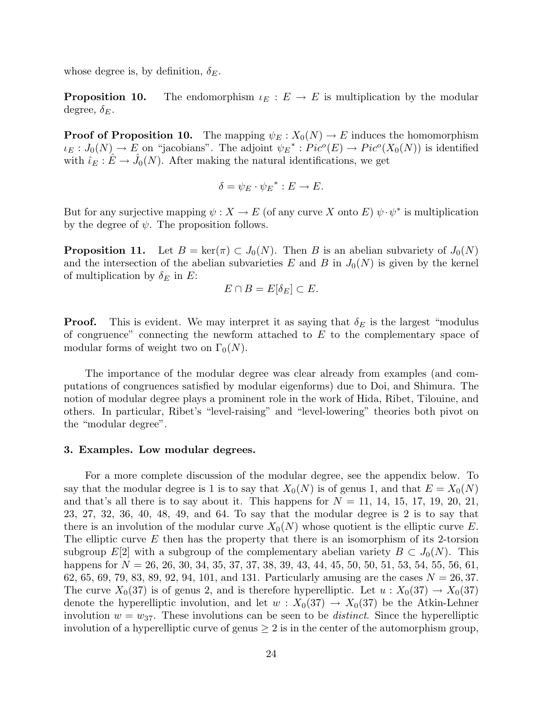whose degree is, by definition,  $\delta_E$ .

**Proposition 10.** The endomorphism  $\iota_E : E \to E$  is multiplication by the modular degree,  $\delta_E$ .

**Proof of Proposition 10.** The mapping  $\psi_E : X_0(N) \to E$  induces the homomorphism  $\iota_E: J_0(N) \to E$  on "jacobians". The adjoint  $\psi_E^* : Pic^o(E) \to Pic^o(X_0(N))$  is identified with  $\hat{\iota}_E : \hat{E} \to \hat{J}_0(N)$ . After making the natural identifications, we get

$$
\delta = \psi_E \cdot \psi_E^* : E \to E.
$$

But for any surjective mapping  $\psi: X \to E$  (of any curve X onto E)  $\psi \cdot \psi^*$  is multiplication by the degree of  $\psi$ . The proposition follows.

**Proposition 11.** Let  $B = \ker(\pi) \subset J_0(N)$ . Then B is an abelian subvariety of  $J_0(N)$ and the intersection of the abelian subvarieties E and B in  $J_0(N)$  is given by the kernel of multiplication by  $\delta_E$  in E:

$$
E \cap B = E[\delta_E] \subset E.
$$

**Proof.** This is evident. We may interpret it as saying that  $\delta_E$  is the largest "modulus" of congruence" connecting the newform attached to  $E$  to the complementary space of modular forms of weight two on  $\Gamma_0(N)$ .

The importance of the modular degree was clear already from examples (and computations of congruences satisfied by modular eigenforms) due to Doi, and Shimura. The notion of modular degree plays a prominent role in the work of Hida, Ribet, Tilouine, and others. In particular, Ribet's "level-raising" and "level-lowering" theories both pivot on the "modular degree".

## 3. Examples. Low modular degrees.

For a more complete discussion of the modular degree, see the appendix below. To say that the modular degree is 1 is to say that  $X_0(N)$  is of genus 1, and that  $E = X_0(N)$ and that's all there is to say about it. This happens for  $N = 11, 14, 15, 17, 19, 20, 21,$ 23, 27, 32, 36, 40, 48, 49, and 64. To say that the modular degree is 2 is to say that there is an involution of the modular curve  $X_0(N)$  whose quotient is the elliptic curve E. The elliptic curve  $E$  then has the property that there is an isomorphism of its 2-torsion subgroup  $E[2]$  with a subgroup of the complementary abelian variety  $B \subset J_0(N)$ . This happens for  $N = 26, 26, 30, 34, 35, 37, 37, 38, 39, 43, 44, 45, 50, 50, 51, 53, 54, 55, 56, 61,$ 62, 65, 69, 79, 83, 89, 92, 94, 101, and 131. Particularly amusing are the cases  $N = 26,37$ . The curve  $X_0(37)$  is of genus 2, and is therefore hyperelliptic. Let  $u: X_0(37) \to X_0(37)$ denote the hyperelliptic involution, and let  $w: X_0(37) \to X_0(37)$  be the Atkin-Lehner involution  $w = w_{37}$ . These involutions can be seen to be *distinct*. Since the hyperelliptic involution of a hyperelliptic curve of genus  $\geq 2$  is in the center of the automorphism group,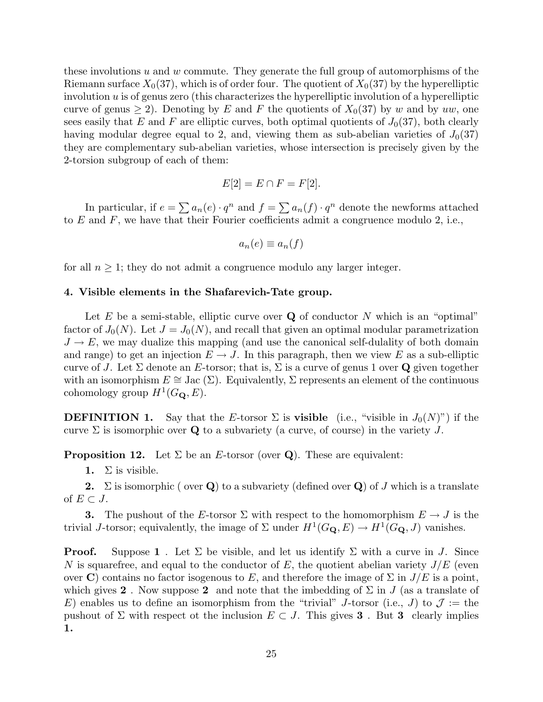these involutions u and w commute. They generate the full group of automorphisms of the Riemann surface  $X_0(37)$ , which is of order four. The quotient of  $X_0(37)$  by the hyperelliptic involution  $u$  is of genus zero (this characterizes the hyperelliptic involution of a hyperelliptic curve of genus  $\geq 2$ ). Denoting by E and F the quotients of  $X_0(37)$  by w and by uw, one sees easily that E and F are elliptic curves, both optimal quotients of  $J_0(37)$ , both clearly having modular degree equal to 2, and, viewing them as sub-abelian varieties of  $J_0(37)$ they are complementary sub-abelian varieties, whose intersection is precisely given by the 2-torsion subgroup of each of them:

$$
E[2] = E \cap F = F[2].
$$

In particular, if  $e = \sum a_n(e) \cdot q^n$  and  $f = \sum a_n(f) \cdot q^n$  denote the newforms attached to  $E$  and  $F$ , we have that their Fourier coefficients admit a congruence modulo 2, i.e.,

$$
a_n(e) \equiv a_n(f)
$$

for all  $n \geq 1$ ; they do not admit a congruence modulo any larger integer.

### 4. Visible elements in the Shafarevich-Tate group.

Let  $E$  be a semi-stable, elliptic curve over  $Q$  of conductor  $N$  which is an "optimal" factor of  $J_0(N)$ . Let  $J = J_0(N)$ , and recall that given an optimal modular parametrization  $J \to E$ , we may dualize this mapping (and use the canonical self-dulality of both domain and range) to get an injection  $E \to J$ . In this paragraph, then we view E as a sub-elliptic curve of J. Let  $\Sigma$  denote an E-torsor; that is,  $\Sigma$  is a curve of genus 1 over Q given together with an isomorphism  $E \cong$  Jac  $(\Sigma)$ . Equivalently,  $\Sigma$  represents an element of the continuous cohomology group  $H^1(G_\mathbf{Q}, E)$ .

**DEFINITION 1.** Say that the E-torsor  $\Sigma$  is **visible** (i.e., "visible in  $J_0(N)$ ") if the curve  $\Sigma$  is isomorphic over Q to a subvariety (a curve, of course) in the variety J.

**Proposition 12.** Let  $\Sigma$  be an *E*-torsor (over **Q**). These are equivalent:

1.  $\Sigma$  is visible.

**2.**  $\Sigma$  is isomorphic ( over **Q**) to a subvariety (defined over **Q**) of J which is a translate of  $E \subset J$ .

**3.** The pushout of the E-torsor  $\Sigma$  with respect to the homomorphism  $E \to J$  is the trivial *J*-torsor; equivalently, the image of  $\Sigma$  under  $H^1(G_{\mathbf{Q}}, E) \to H^1(G_{\mathbf{Q}}, J)$  vanishes.

**Proof.** Suppose 1. Let  $\Sigma$  be visible, and let us identify  $\Sigma$  with a curve in J. Since N is squarefree, and equal to the conductor of E, the quotient abelian variety  $J/E$  (even over C) contains no factor isogenous to E, and therefore the image of  $\Sigma$  in  $J/E$  is a point, which gives 2. Now suppose 2 and note that the imbedding of  $\Sigma$  in J (as a translate of E) enables us to define an isomorphism from the "trivial" J-torsor (i.e., J) to  $\mathcal{J} :=$  the pushout of  $\Sigma$  with respect ot the inclusion  $E \subset J$ . This gives **3**. But **3** clearly implies 1.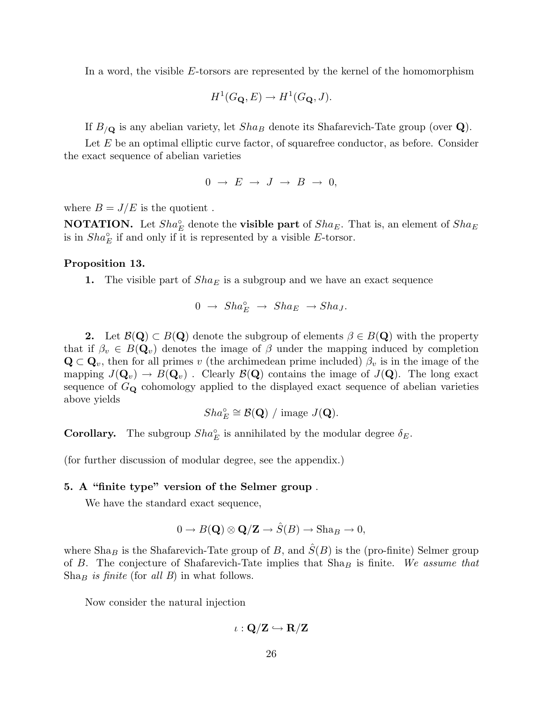In a word, the visible  $E$ -torsors are represented by the kernel of the homomorphism

$$
H^1(G_{\mathbf{Q}}, E) \to H^1(G_{\mathbf{Q}}, J).
$$

If  $B_{/\mathbf{Q}}$  is any abelian variety, let  $Sha_B$  denote its Shafarevich-Tate group (over  $\mathbf{Q}$ ).

Let E be an optimal elliptic curve factor, of squarefree conductor, as before. Consider the exact sequence of abelian varieties

$$
0 \rightarrow E \rightarrow J \rightarrow B \rightarrow 0,
$$

where  $B = J/E$  is the quotient.

**NOTATION.** Let  $Sha_E^{\circ}$  denote the **visible part** of  $Sha_E$ . That is, an element of  $Sha_E$ is in  $Sha_E^{\circ}$  if and only if it is represented by a visible E-torsor.

#### Proposition 13.

**1.** The visible part of  $Sha_E$  is a subgroup and we have an exact sequence

$$
0 \ \to \ Sha_E^{\circ} \ \to \ Sha_E \ \to Sha_J.
$$

2. Let  $\mathcal{B}(\mathbf{Q}) \subset B(\mathbf{Q})$  denote the subgroup of elements  $\beta \in B(\mathbf{Q})$  with the property that if  $\beta_v \in B(\mathbf{Q}_v)$  denotes the image of  $\beta$  under the mapping induced by completion  $\mathbf{Q} \subset \mathbf{Q}_v$ , then for all primes v (the archimedean prime included)  $\beta_v$  is in the image of the mapping  $J(\mathbf{Q}_v) \to B(\mathbf{Q}_v)$ . Clearly  $\mathcal{B}(\mathbf{Q})$  contains the image of  $J(\mathbf{Q})$ . The long exact sequence of  $G_{\mathbf{Q}}$  cohomology applied to the displayed exact sequence of abelian varieties above yields

$$
Sha_E^{\circ} \cong \mathcal{B}(\mathbf{Q}) / \text{ image } J(\mathbf{Q}).
$$

**Corollary.** The subgroup  $Sha_E^{\circ}$  is annihilated by the modular degree  $\delta_E$ .

(for further discussion of modular degree, see the appendix.)

## 5. A "finite type" version of the Selmer group .

We have the standard exact sequence,

$$
0 \to B(\mathbf{Q}) \otimes \mathbf{Q}/\mathbf{Z} \to \hat{S}(B) \to \text{Sha}_B \to 0,
$$

where  $\text{Sha}_B$  is the Shafarevich-Tate group of B, and  $\hat{S}(B)$  is the (pro-finite) Selmer group of B. The conjecture of Shafarevich-Tate implies that  $Sha_B$  is finite. We assume that  $Sha_B$  is finite (for all B) in what follows.

Now consider the natural injection

$$
\iota: \mathbf{Q}/\mathbf{Z} \hookrightarrow \mathbf{R}/\mathbf{Z}
$$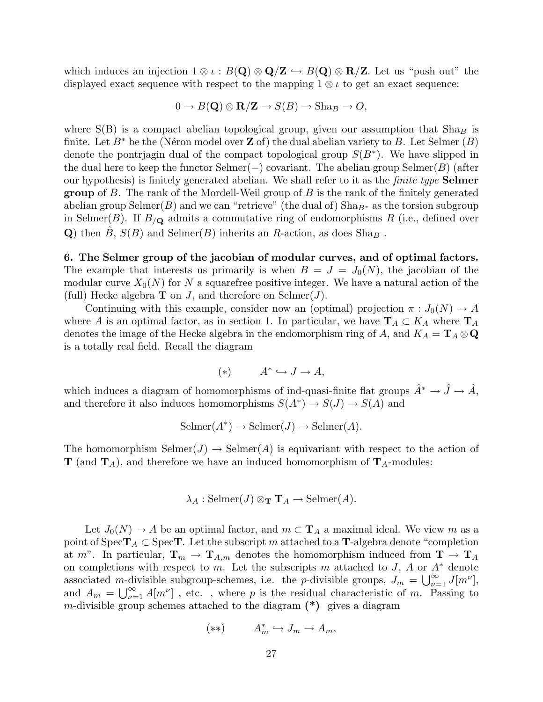which induces an injection  $1 \otimes \iota : B(\mathbf{Q}) \otimes \mathbf{Q}/\mathbf{Z} \hookrightarrow B(\mathbf{Q}) \otimes \mathbf{R}/\mathbf{Z}$ . Let us "push out" the displayed exact sequence with respect to the mapping  $1 \otimes i$  to get an exact sequence:

$$
0 \to B(\mathbf{Q}) \otimes \mathbf{R}/\mathbf{Z} \to S(B) \to \text{Sha}_B \to O,
$$

where  $S(B)$  is a compact abelian topological group, given our assumption that  $Sha_B$  is finite. Let  $B^*$  be the (Néron model over **Z** of) the dual abelian variety to B. Let Selmer (B) denote the pontrjagin dual of the compact topological group  $S(B^*)$ . We have slipped in the dual here to keep the functor  $\text{Selmer}(-)$  covariant. The abelian group  $\text{Selmer}(B)$  (after our hypothesis) is finitely generated abelian. We shall refer to it as the finite type Selmer **group** of B. The rank of the Mordell-Weil group of B is the rank of the finitely generated abelian group Selmer(B) and we can "retrieve" (the dual of)  $\text{Sha}_{B^*}$  as the torsion subgroup in Selmer(B). If  $B_{\mathcal{O}}$  admits a commutative ring of endomorphisms R (i.e., defined over Q) then  $B, S(B)$  and Selmer $(B)$  inherits an R-action, as does Sha<sub>B</sub>.

6. The Selmer group of the jacobian of modular curves, and of optimal factors. The example that interests us primarily is when  $B = J = J_0(N)$ , the jacobian of the modular curve  $X_0(N)$  for N a squarefree positive integer. We have a natural action of the (full) Hecke algebra **T** on *J*, and therefore on Selmer(*J*).

Continuing with this example, consider now an (optimal) projection  $\pi: J_0(N) \to A$ where A is an optimal factor, as in section 1. In particular, we have  $\mathbf{T}_A \subset K_A$  where  $\mathbf{T}_A$ denotes the image of the Hecke algebra in the endomorphism ring of A, and  $K_A = \mathbf{T}_A \otimes \mathbf{Q}$ is a totally real field. Recall the diagram

$$
(*) \t A^* \hookrightarrow J \to A,
$$

which induces a diagram of homomorphisms of ind-quasi-finite flat groups  $\hat{A}^* \to \hat{J} \to \hat{A}$ , and therefore it also induces homomorphisms  $S(A^*) \to S(J) \to S(A)$  and

$$
Selmer(A^*) \to Selmer(J) \to Selmer(A).
$$

The homomorphism  $\text{Selmer}(J) \to \text{Selmer}(A)$  is equivariant with respect to the action of  $\mathbf{T}$  (and  $\mathbf{T}_A$ ), and therefore we have an induced homomorphism of  $\mathbf{T}_A$ -modules:

$$
\lambda_A : \mathrm{Selmer}(J) \otimes_{\mathrm{\mathbf{T}}} \mathrm{\mathbf{T}}_A \to \mathrm{Selmer}(A).
$$

Let  $J_0(N) \to A$  be an optimal factor, and  $m \subset \mathbf{T}_A$  a maximal ideal. We view m as a point of  $Spec T_A \subset Spec T$ . Let the subscript m attached to a T-algebra denote "completion" at m". In particular,  $\mathbf{T}_m \to \mathbf{T}_{A,m}$  denotes the homomorphism induced from  $\mathbf{T} \to \mathbf{T}_A$ on completions with respect to m. Let the subscripts m attached to J, A or  $A^*$  denote associated m-divisible subgroup-schemes, i.e. the *p*-divisible groups,  $J_m = \bigcup_{\nu=1}^{\infty} J[m^{\nu}]$ , and  $A_m = \bigcup_{\nu=1}^{\infty} A[m^{\nu}]$ , etc., where p is the residual characteristic of m. Passing to m-divisible group schemes attached to the diagram  $(*)$  gives a diagram

$$
(**) \t A_m^* \hookrightarrow J_m \to A_m,
$$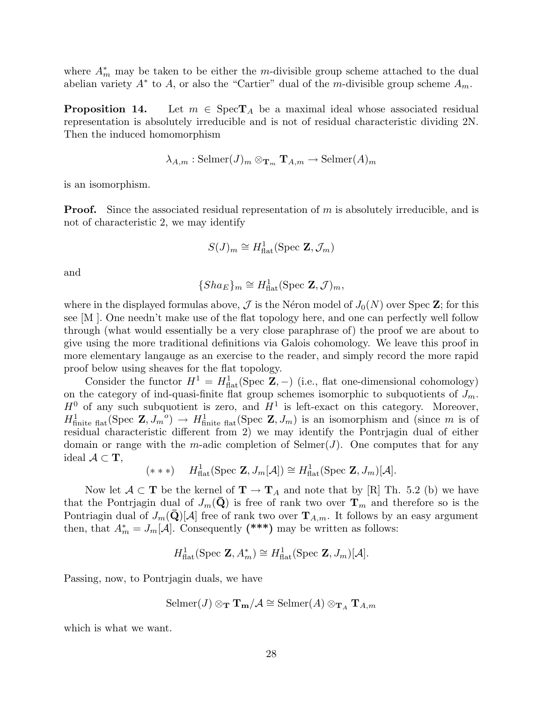where  $A_m^*$  may be taken to be either the m-divisible group scheme attached to the dual abelian variety  $A^*$  to A, or also the "Cartier" dual of the m-divisible group scheme  $A_m$ .

**Proposition 14.** Let  $m \in \text{Spec}T_A$  be a maximal ideal whose associated residual representation is absolutely irreducible and is not of residual characteristic dividing 2N. Then the induced homomorphism

$$
\lambda_{A,m}: \mathrm{Selmer}(J)_m \otimes_{\mathbf{T}_m} \mathbf{T}_{A,m} \to \mathrm{Selmer}(A)_m
$$

is an isomorphism.

**Proof.** Since the associated residual representation of m is absolutely irreducible, and is not of characteristic 2, we may identify

$$
S(J)_m \cong H^1_{\text{flat}}(\text{Spec } \mathbf{Z}, \mathcal{J}_m)
$$

and

$$
\{Sha_E\}_m \cong H^1_{\text{flat}}(\text{Spec } \mathbf{Z}, \mathcal{J})_m,
$$

where in the displayed formulas above,  $\mathcal J$  is the Néron model of  $J_0(N)$  over Spec Z; for this see [M ]. One needn't make use of the flat topology here, and one can perfectly well follow through (what would essentially be a very close paraphrase of) the proof we are about to give using the more traditional definitions via Galois cohomology. We leave this proof in more elementary langauge as an exercise to the reader, and simply record the more rapid proof below using sheaves for the flat topology.

Consider the functor  $H^1 = H_{\text{flat}}^1(\text{Spec } \mathbb{Z}, -)$  (i.e., flat one-dimensional cohomology) on the category of ind-quasi-finite flat group schemes isomorphic to subquotients of  $J_m$ .  $H^0$  of any such subquotient is zero, and  $H^1$  is left-exact on this category. Moreover,  $H^1_{\text{finite flat}}(\text{Spec } \mathbb{Z}, J_m^{\circ}) \to H^1_{\text{finite flat}}(\text{Spec } \mathbb{Z}, J_m)$  is an isomorphism and (since m is of residual characteristic different from 2) we may identify the Pontrjagin dual of either domain or range with the m-adic completion of Selmer(J). One computes that for any ideal  $\mathcal{A} \subset \mathbf{T}$ ,

$$
(***) \quad H^1_{\text{flat}}(\text{Spec } \mathbf{Z}, J_m[\mathcal{A}]) \cong H^1_{\text{flat}}(\text{Spec } \mathbf{Z}, J_m)[\mathcal{A}].
$$

Now let  $A \subset T$  be the kernel of  $T \to T_A$  and note that by [R] Th. 5.2 (b) we have that the Pontrjagin dual of  $J_m(Q)$  is free of rank two over  $\mathbf{T}_m$  and therefore so is the Pontriagin dual of  $J_m(\mathbf{Q})[\mathcal{A}]$  free of rank two over  $\mathbf{T}_{A,m}$ . It follows by an easy argument then, that  $A_m^* = J_m[\mathcal{A}]$ . Consequently (\*\*\*) may be written as follows:

$$
H_{\text{flat}}^1(\text{Spec }\mathbf{Z}, A_m^*) \cong H_{\text{flat}}^1(\text{Spec }\mathbf{Z}, J_m)[\mathcal{A}].
$$

Passing, now, to Pontrjagin duals, we have

$$
\mathrm{Selmer}(J) \otimes_{\mathbf{T}} \mathbf{T}_{\mathbf{m}}/\mathcal{A} \cong \mathrm{Selmer}(A) \otimes_{\mathbf{T}_A} \mathbf{T}_{A,m}
$$

which is what we want.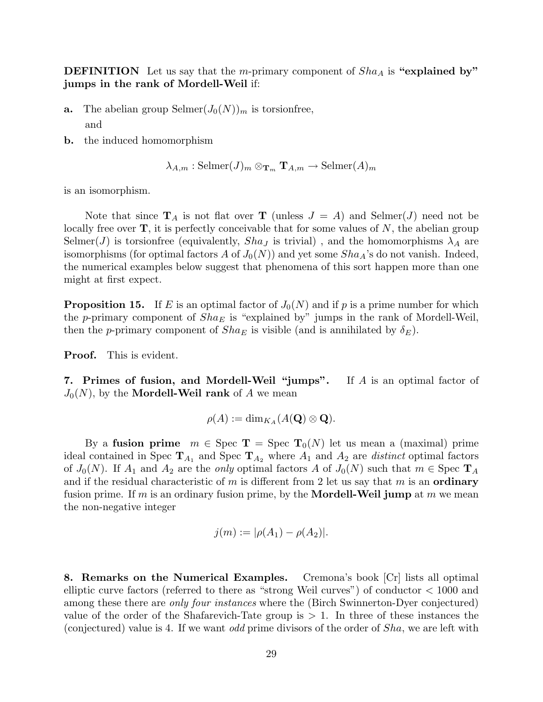**DEFINITION** Let us say that the *m*-primary component of  $Sha_A$  is "explained by" jumps in the rank of Mordell-Weil if:

- **a.** The abelian group Selmer $(J_0(N))_m$  is torsionfree, and
- b. the induced homomorphism

$$
\lambda_{A,m}
$$
: Selmer $(J)_m \otimes_{\mathbf{T}_m} \mathbf{T}_{A,m} \to Selmer(A)_m$ 

is an isomorphism.

Note that since  $\mathbf{T}_A$  is not flat over  $\mathbf{T}$  (unless  $J = A$ ) and Selmer(J) need not be locally free over  $\mathbf{T}$ , it is perfectly conceivable that for some values of N, the abelian group Selmer(J) is torsionfree (equivalently,  $Sha<sub>J</sub>$  is trivial), and the homomorphisms  $\lambda<sub>A</sub>$  are isomorphisms (for optimal factors A of  $J_0(N)$ ) and yet some  $Sha<sub>A</sub>$ 's do not vanish. Indeed, the numerical examples below suggest that phenomena of this sort happen more than one might at first expect.

**Proposition 15.** If E is an optimal factor of  $J_0(N)$  and if p is a prime number for which the p-primary component of  $Sha_E$  is "explained by" jumps in the rank of Mordell-Weil, then the p-primary component of  $Sha_E$  is visible (and is annihilated by  $\delta_E$ ).

**Proof.** This is evident.

7. Primes of fusion, and Mordell-Weil "jumps". If A is an optimal factor of  $J_0(N)$ , by the **Mordell-Weil rank** of A we mean

$$
\rho(A) := \dim_{K_A}(A(\mathbf{Q}) \otimes \mathbf{Q}).
$$

By a fusion prime  $m \in \text{Spec } T = \text{Spec } T_0(N)$  let us mean a (maximal) prime ideal contained in Spec  $\mathbf{T}_{A_1}$  and Spec  $\mathbf{T}_{A_2}$  where  $A_1$  and  $A_2$  are *distinct* optimal factors of  $J_0(N)$ . If  $A_1$  and  $A_2$  are the *only* optimal factors A of  $J_0(N)$  such that  $m \in \text{Spec } T_A$ and if the residual characteristic of m is different from 2 let us say that m is an **ordinary** fusion prime. If m is an ordinary fusion prime, by the **Mordell-Weil jump** at m we mean the non-negative integer

$$
j(m) := |\rho(A_1) - \rho(A_2)|.
$$

8. Remarks on the Numerical Examples. Cremona's book  $|Cr|$  lists all optimal elliptic curve factors (referred to there as "strong Weil curves") of conductor < 1000 and among these there are *only four instances* where the (Birch Swinnerton-Dyer conjectured) value of the order of the Shafarevich-Tate group is  $> 1$ . In three of these instances the (conjectured) value is 4. If we want odd prime divisors of the order of Sha, we are left with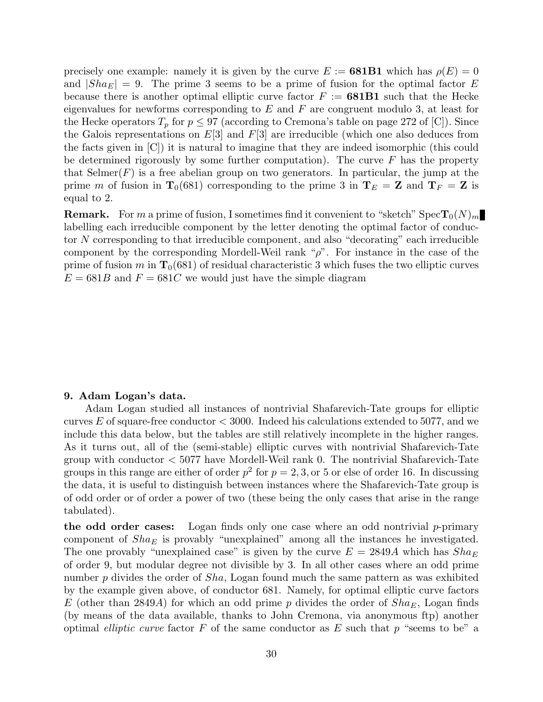precisely one example: namely it is given by the curve  $E := 681B1$  which has  $\rho(E) = 0$ and  $|Sha_E| = 9$ . The prime 3 seems to be a prime of fusion for the optimal factor E because there is another optimal elliptic curve factor  $F := 681B1$  such that the Hecke eigenvalues for newforms corresponding to  $E$  and  $F$  are congruent modulo 3, at least for the Hecke operators  $T_p$  for  $p \leq 97$  (according to Cremona's table on page 272 of [C]). Since the Galois representations on  $E[3]$  and  $F[3]$  are irreducible (which one also deduces from the facts given in [C]) it is natural to imagine that they are indeed isomorphic (this could be determined rigorously by some further computation). The curve  $F$  has the property that  $\text{Selmer}(F)$  is a free abelian group on two generators. In particular, the jump at the prime m of fusion in  $T_0(681)$  corresponding to the prime 3 in  $T_E = Z$  and  $T_F = Z$  is equal to 2.

**Remark.** For m a prime of fusion, I sometimes find it convenient to "sketch"  $Spec T_0(N)_m$ labelling each irreducible component by the letter denoting the optimal factor of conductor N corresponding to that irreducible component, and also "decorating" each irreducible component by the corresponding Mordell-Weil rank " $\rho$ ". For instance in the case of the prime of fusion m in  $T_0(681)$  of residual characteristic 3 which fuses the two elliptic curves  $E = 681B$  and  $F = 681C$  we would just have the simple diagram

#### 9. Adam Logan's data.

Adam Logan studied all instances of nontrivial Shafarevich-Tate groups for elliptic curves E of square-free conductor  $<$  3000. Indeed his calculations extended to 5077, and we include this data below, but the tables are still relatively incomplete in the higher ranges. As it turns out, all of the (semi-stable) elliptic curves with nontrivial Shafarevich-Tate group with conductor  $\langle 5077 \rangle$  have Mordell-Weil rank 0. The nontrivial Shafarevich-Tate groups in this range are either of order  $p^2$  for  $p = 2, 3,$  or 5 or else of order 16. In discussing the data, it is useful to distinguish between instances where the Shafarevich-Tate group is of odd order or of order a power of two (these being the only cases that arise in the range tabulated).

the odd order cases: Logan finds only one case where an odd nontrivial  $p$ -primary component of  $Sha_E$  is provably "unexplained" among all the instances he investigated. The one provably "unexplained case" is given by the curve  $E = 2849A$  which has  $Sha_E$ of order 9, but modular degree not divisible by 3. In all other cases where an odd prime number p divides the order of *Sha*, Logan found much the same pattern as was exhibited by the example given above, of conductor 681. Namely, for optimal elliptic curve factors E (other than 2849A) for which an odd prime p divides the order of  $Sha_E$ , Logan finds (by means of the data available, thanks to John Cremona, via anonymous ftp) another optimal *elliptic curve* factor  $F$  of the same conductor as  $E$  such that  $p$  "seems to be" a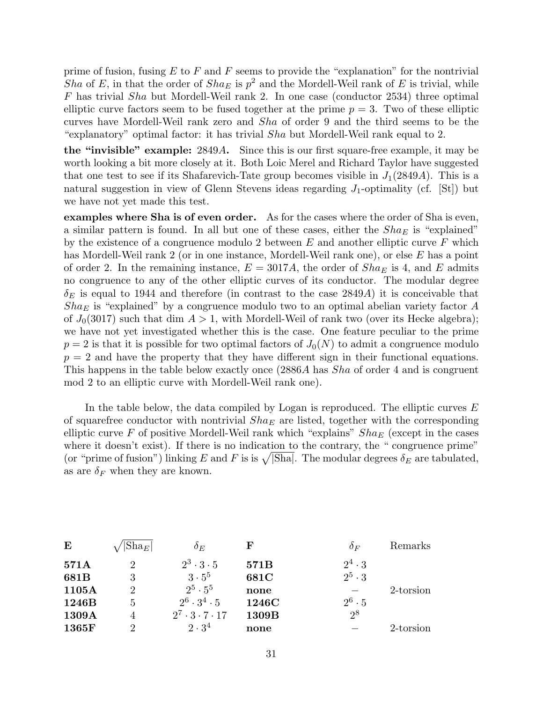prime of fusion, fusing  $E$  to  $F$  and  $F$  seems to provide the "explanation" for the nontrivial Sha of E, in that the order of  $Sha_E$  is  $p^2$  and the Mordell-Weil rank of E is trivial, while F has trivial Sha but Mordell-Weil rank 2. In one case (conductor 2534) three optimal elliptic curve factors seem to be fused together at the prime  $p = 3$ . Two of these elliptic curves have Mordell-Weil rank zero and Sha of order 9 and the third seems to be the "explanatory" optimal factor: it has trivial Sha but Mordell-Weil rank equal to 2.

the "invisible" example: 2849A. Since this is our first square-free example, it may be worth looking a bit more closely at it. Both Loic Merel and Richard Taylor have suggested that one test to see if its Shafarevich-Tate group becomes visible in  $J_1(2849A)$ . This is a natural suggestion in view of Glenn Stevens ideas regarding  $J_1$ -optimality (cf. [St]) but we have not yet made this test.

examples where Sha is of even order. As for the cases where the order of Sha is even, a similar pattern is found. In all but one of these cases, either the  $Sha_E$  is "explained" by the existence of a congruence modulo 2 between  $E$  and another elliptic curve  $F$  which has Mordell-Weil rank 2 (or in one instance, Mordell-Weil rank one), or else E has a point of order 2. In the remaining instance,  $E = 3017A$ , the order of  $Sha<sub>E</sub>$  is 4, and E admits no congruence to any of the other elliptic curves of its conductor. The modular degree  $\delta_E$  is equal to 1944 and therefore (in contrast to the case 2849A) it is conceivable that  $Sha<sub>E</sub>$  is "explained" by a congruence modulo two to an optimal abelian variety factor A of  $J_0(3017)$  such that dim  $A > 1$ , with Mordell-Weil of rank two (over its Hecke algebra); we have not yet investigated whether this is the case. One feature peculiar to the prime  $p = 2$  is that it is possible for two optimal factors of  $J_0(N)$  to admit a congruence modulo  $p = 2$  and have the property that they have different sign in their functional equations. This happens in the table below exactly once  $(2886A)$  has *Sha* of order 4 and is congruent mod 2 to an elliptic curve with Mordell-Weil rank one).

In the table below, the data compiled by Logan is reproduced. The elliptic curves  $E$ of squarefree conductor with nontrivial  $Sha_E$  are listed, together with the corresponding elliptic curve F of positive Mordell-Weil rank which "explains"  $Sha_E$  (except in the cases where it doesn't exist). If there is no indication to the contrary, the "congruence prime" where it doesn't exist). If there is no indication to the contrary, the "congruence prime"<br>(or "prime of fusion") linking E and F is is  $\sqrt{|\text{Sha}|}$ . The modular degrees  $\delta_E$  are tabulated, as are  $\delta_F$  when they are known.

| E     | $ \text{Sha}_E $            | $\delta_E$                     | F     | $\delta_F$    | Remarks   |
|-------|-----------------------------|--------------------------------|-------|---------------|-----------|
| 571A  | 2                           | $2^3 \cdot 3 \cdot 5$          | 571B  | $2^4 \cdot 3$ |           |
| 681B  | 3                           | $3 \cdot 5^5$                  | 681C  | $2^5 \cdot 3$ |           |
| 1105A | $\overline{2}$              | $2^5 \cdot 5^5$                | none  |               | 2-torsion |
| 1246B | 5                           | $2^6 \cdot 3^4 \cdot 5$        | 1246C | $2^6 \cdot 5$ |           |
| 1309A |                             | $2^7 \cdot 3 \cdot 7 \cdot 17$ | 1309B | $2^8$         |           |
| 1365F | $\mathcal{D}_{\mathcal{L}}$ | $2 \cdot 3^4$                  | none  |               | 2-torsion |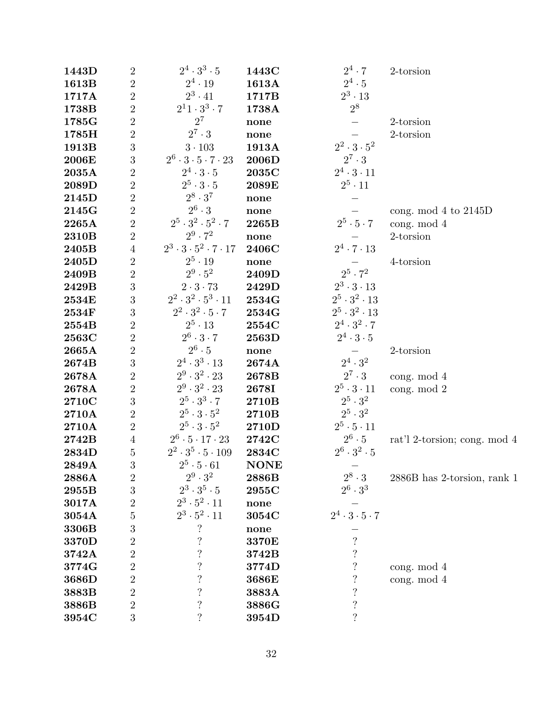| 1443D | $\overline{2}$   | $2^4\cdot3^3\cdot5$                      | 1443C       | $2^4\cdot 7$                  | 2-torsion                    |
|-------|------------------|------------------------------------------|-------------|-------------------------------|------------------------------|
| 1613B | $\sqrt{2}$       | $2^4 \cdot 19$                           | 1613A       | $2^4 \cdot 5$                 |                              |
| 1717A | $\sqrt{2}$       | $2^3 \cdot 41$                           | 1717B       | $2^3 \cdot 13$                |                              |
| 1738B | $\sqrt{2}$       | $2^11 \cdot 3^3 \cdot 7$                 | 1738A       | $2^8$                         |                              |
| 1785G | $\sqrt{2}$       | $2^7$                                    | none        |                               | 2-torsion                    |
| 1785H | $\overline{2}$   | $2^7 \cdot 3$                            | none        |                               | 2-torsion                    |
| 1913B | $\mathbf{3}$     | $3\cdot 103$                             | 1913A       | $2^2 \cdot 3 \cdot 5^2$       |                              |
| 2006E | 3                | $2^6 \cdot 3 \cdot 5 \cdot 7 \cdot 23$   | 2006D       | $2^7 \cdot 3$                 |                              |
| 2035A | $\overline{2}$   | $2^4 \cdot 3 \cdot 5$                    | 2035C       | $2^4 \cdot 3 \cdot 11$        |                              |
| 2089D | $\sqrt{2}$       | $2^5 \cdot 3 \cdot 5$                    | 2089E       | $2^5 \cdot 11$                |                              |
| 2145D | $\overline{2}$   | $2^8 \cdot 3^7$                          | none        |                               |                              |
| 2145G | $\sqrt{2}$       | $2^6 \cdot 3$                            | none        |                               | cong. mod $4$ to $2145D$     |
| 2265A | $\overline{2}$   | $2^5\cdot 3^2\cdot 5^2\cdot 7$           | 2265B       | $2^5 \cdot 5 \cdot 7$         | cong. mod 4                  |
| 2310B | $\overline{2}$   | $2^9 \cdot 7^2$                          | none        |                               | $2$ -torsion                 |
| 2405B | $\sqrt{4}$       | $2^3 \cdot 3 \cdot 5^2 \cdot 7 \cdot 17$ | 2406C       | $2^4 \cdot 7 \cdot 13$        |                              |
| 2405D | $\sqrt{2}$       | $2^5 \cdot 19$                           | none        |                               | 4-torsion                    |
| 2409B | $\sqrt{2}$       | $2^9 \cdot 5^2$                          | 2409D       | $2^5 \cdot 7^2$               |                              |
| 2429B | $\overline{3}$   | $2 \cdot 3 \cdot 73$                     | 2429D       | $2^3 \cdot 3 \cdot 13$        |                              |
| 2534E | 3                | $2^2\cdot 3^2\cdot 5^3\cdot 11$          | 2534G       | $2^5 \cdot 3^2 \cdot 13$      |                              |
| 2534F | 3                | $2^2\cdot 3^2\cdot 5\cdot 7$             | 2534G       | $2^5 \cdot 3^2 \cdot 13$      |                              |
| 2554B | $\sqrt{2}$       | $2^5 \cdot 13$                           | 2554C       | $2^4 \cdot 3^2 \cdot 7$       |                              |
| 2563C | $\sqrt{2}$       | $2^6 \cdot 3 \cdot 7$                    | 2563D       | $2^4 \cdot 3 \cdot 5$         |                              |
| 2665A | $\sqrt{2}$       | $2^6 \cdot 5$                            | none        |                               | 2-torsion                    |
| 2674B | 3                | $2^4 \cdot 3^3 \cdot 13$                 | 2674A       | $2^4 \cdot 3^2$               |                              |
| 2678A | $\overline{2}$   | $2^9 \cdot 3^2 \cdot 23$                 | 2678B       | $2^7 \cdot 3$                 | cong. $mod 4$                |
| 2678A | $\overline{2}$   | $2^9\cdot 3^2\cdot 23$                   | 2678I       | $2^5 \cdot 3 \cdot 11$        | cong. mod 2                  |
| 2710C | 3                | $2^5\cdot 3^3\cdot 7$                    | 2710B       | $2^5 \cdot 3^2$               |                              |
| 2710A | $\sqrt{2}$       | $2^5\cdot 3\cdot 5^2$                    | 2710B       | $2^5\cdot 3^2$                |                              |
| 2710A | $\overline{2}$   | $2^5\cdot 3\cdot 5^2$                    | 2710D       | $2^5 \cdot 5 \cdot 11$        |                              |
| 2742B | $\sqrt{4}$       | $2^6 \cdot 5 \cdot 17 \cdot 23$          | 2742C       | $2^6 \cdot 5$                 | rat'l 2-torsion; cong. mod 4 |
| 2834D | $\bf 5$          | $2^2 \cdot 3^5 \cdot 5 \cdot 109$        | 2834C       | $2^6 \cdot 3^2 \cdot 5$       |                              |
| 2849A | 3                | $2^5\cdot 5\cdot 61$                     | <b>NONE</b> |                               |                              |
| 2886A | $\sqrt{2}$       | $2^9 \cdot 3^2$                          | 2886B       | $2^8 \cdot 3$                 | 2886B has 2-torsion, rank 1  |
| 2955B | 3                | $2^3 \cdot 3^5 \cdot 5$                  | 2955C       | $2^6 \cdot 3^3$               |                              |
| 3017A | $\overline{2}$   | $2^3 \cdot 5^2 \cdot 11$                 | none        |                               |                              |
| 3054A | $\overline{5}$   | $2^3\cdot 5^2\cdot 11$                   | 3054C       | $2^4 \cdot 3 \cdot 5 \cdot 7$ |                              |
| 3306B | 3                | $\ddot{?}$                               | none        |                               |                              |
| 3370D | $\overline{2}$   | $\overline{\mathcal{L}}$                 | 3370E       | $\ddot{?}$                    |                              |
| 3742A | $\overline{2}$   | $\ddot{\cdot}$                           | 3742B       | $\overline{\mathcal{C}}$      |                              |
| 3774G | $\overline{2}$   | $\ddot{?}$                               | 3774D       | $\overline{\mathcal{L}}$      | cong. $mod 4$                |
| 3686D | $\overline{2}$   | $\ddot{?}$                               | 3686E       | $\ddot{?}$                    | cong. mod 4                  |
| 3883B | $\overline{2}$   | $\overline{\mathcal{L}}$                 | 3883A       | $\overline{\mathcal{L}}$      |                              |
| 3886B | $\sqrt{2}$       | $\overline{\mathcal{L}}$                 | 3886G       | $\overline{\mathcal{L}}$      |                              |
| 3954C | $\boldsymbol{3}$ | $\overline{\cdot}$                       | 3954D       | $\overline{\mathcal{L}}$      |                              |